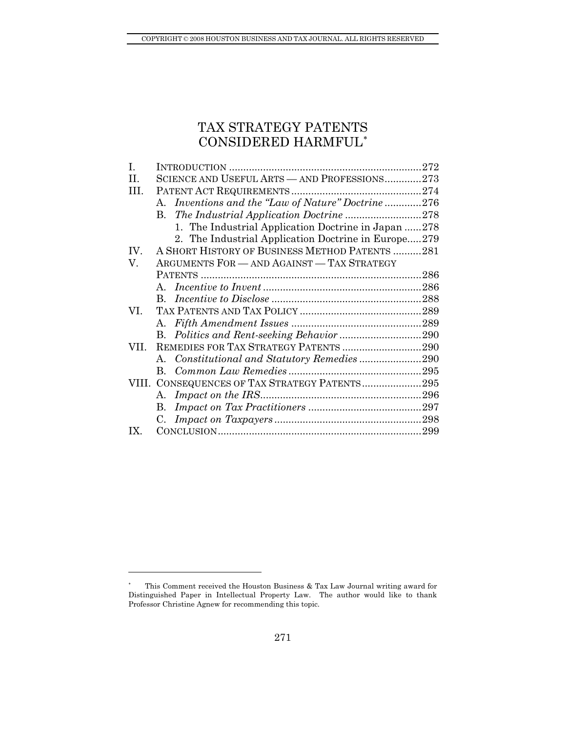# TAX STRATEGY PATENT[S](#page-0-0)  CONSIDERED HARMFUL[∗](#page-0-0)

| I.      |                                                     |  |
|---------|-----------------------------------------------------|--|
| $\Pi$ . | SCIENCE AND USEFUL ARTS - AND PROFESSIONS273        |  |
| HI.     |                                                     |  |
|         | A. Inventions and the "Law of Nature" Doctrine 276  |  |
|         |                                                     |  |
|         | 1. The Industrial Application Doctrine in Japan 278 |  |
|         | 2. The Industrial Application Doctrine in Europe279 |  |
| IV.     | A SHORT HISTORY OF BUSINESS METHOD PATENTS 281      |  |
| V.      | ARGUMENTS FOR - AND AGAINST - TAX STRATEGY          |  |
|         |                                                     |  |
|         |                                                     |  |
|         |                                                     |  |
| VI.     |                                                     |  |
|         |                                                     |  |
|         | B. Politics and Rent-seeking Behavior 290           |  |
| VII.    | REMEDIES FOR TAX STRATEGY PATENTS 290               |  |
|         |                                                     |  |
|         |                                                     |  |
|         | VIII. CONSEQUENCES OF TAX STRATEGY PATENTS295       |  |
|         |                                                     |  |
|         |                                                     |  |
|         | $C_{\cdot}$                                         |  |
| IX.     |                                                     |  |

<span id="page-0-0"></span><sup>∗</sup> This Comment received the Houston Business & Tax Law Journal writing award for Distinguished Paper in Intellectual Property Law. The author would like to thank Professor Christine Agnew for recommending this topic.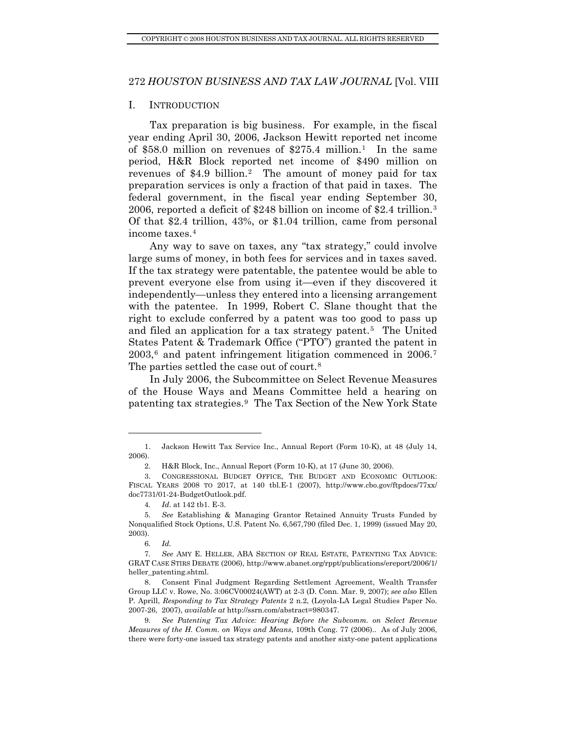#### <span id="page-1-0"></span>I. INTRODUCTION

Tax preparation is big business. For example, in the fiscal year ending April 30, 2006, Jackson Hewitt reported net income of \$58.0 million on revenues of \$275.4 million.[1](#page-1-1) In the same period, H&R Block reported net income of \$490 million on revenues of \$4.9 billion[.2](#page-1-2) The amount of money paid for tax preparation services is only a fraction of that paid in taxes. The federal government, in the fiscal year ending September 30, 2006, reported a deficit of \$248 billion on income of \$2.4 trillion.[3](#page-1-3) Of that \$2.4 trillion, 43%, or \$1.04 trillion, came from personal income taxes.[4](#page-1-4)

Any way to save on taxes, any "tax strategy," could involve large sums of money, in both fees for services and in taxes saved. If the tax strategy were patentable, the patentee would be able to prevent everyone else from using it—even if they discovered it independently—unless they entered into a licensing arrangement with the patentee. In 1999, Robert C. Slane thought that the right to exclude conferred by a patent was too good to pass up and filed an application for a tax strategy patent.[5](#page-1-5) The United States Patent & Trademark Office ("PTO") granted the patent in  $2003$ <sup>[6](#page-1-6)</sup> and patent infringement litigation commenced in  $2006$ <sup>[7](#page-1-7)</sup> The parties settled the case out of court.<sup>[8](#page-1-8)</sup>

In July 2006, the Subcommittee on Select Revenue Measures of the House Ways and Means Committee held a hearing on patenting tax strategies.[9](#page-1-9) The Tax Section of the New York State

<span id="page-1-1"></span> <sup>1.</sup> Jackson Hewitt Tax Service Inc., Annual Report (Form 10-K), at 48 (July 14, 2006).

 <sup>2.</sup> H&R Block, Inc., Annual Report (Form 10-K), at 17 (June 30, 2006).

<span id="page-1-3"></span><span id="page-1-2"></span> <sup>3.</sup> CONGRESSIONAL BUDGET OFFICE, THE BUDGET AND ECONOMIC OUTLOOK: FISCAL YEARS 2008 TO 2017, at 140 tbl.E-1 (2007), http://www.cbo.gov/ftpdocs/77xx/ doc7731/01-24-BudgetOutlook.pdf.

<sup>4</sup>*. Id*. at 142 tb1. E-3.

<span id="page-1-5"></span><span id="page-1-4"></span><sup>5</sup>*. See* Establishing & Managing Grantor Retained Annuity Trusts Funded by Nonqualified Stock Options, U.S. Patent No. 6,567,790 (filed Dec. 1, 1999) (issued May 20, 2003).

<sup>6</sup>*. Id.*

<span id="page-1-7"></span><span id="page-1-6"></span><sup>7</sup>*. See* AMY E. HELLER, ABA SECTION OF REAL ESTATE, PATENTING TAX ADVICE: GRAT CASE STIRS DEBATE (2006), http://www.abanet.org/rppt/publications/ereport/2006/1/ heller\_patenting.shtml.

<span id="page-1-8"></span> <sup>8.</sup> Consent Final Judgment Regarding Settlement Agreement, Wealth Transfer Group LLC v. Rowe, No. 3:06CV00024(AWT) at 2-3 (D. Conn. Mar. 9, 2007); *see also* Ellen P. Aprill, *Responding to Tax Strategy Patents* 2 n.2, (Loyola-LA Legal Studies Paper No. 2007-26, 2007), *available at* http://ssrn.com/abstract=980347.

<span id="page-1-9"></span><sup>9</sup>*. See Patenting Tax Advice: Hearing Before the Subcomm. on Select Revenue Measures of the H. Comm. on Ways and Means*, 109th Cong. 77 (2006).. As of July 2006, there were forty-one issued tax strategy patents and another sixty-one patent applications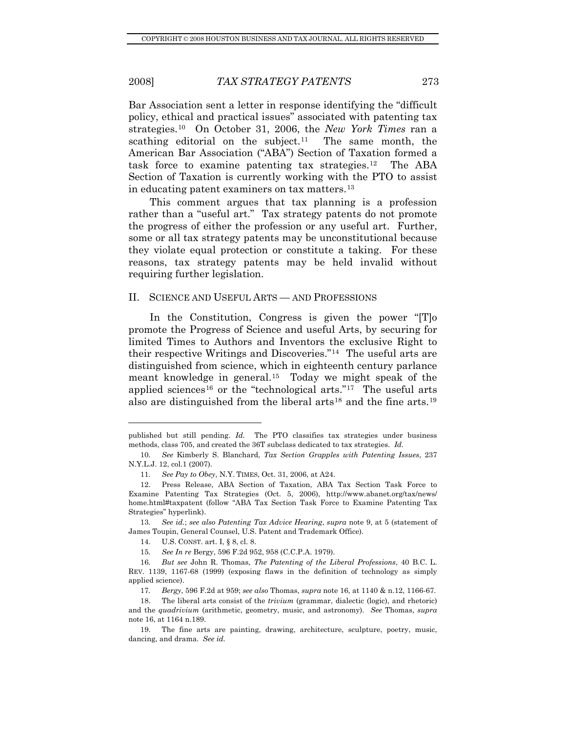<span id="page-2-0"></span>Bar Association sent a letter in response identifying the "difficult policy, ethical and practical issues" associated with patenting tax strategies.[10](#page-2-1) On October 31, 2006, the *New York Times* ran a scathing editorial on the subject.<sup>[11](#page-2-2)</sup> The same month, the American Bar Association ("ABA") Section of Taxation formed a task force to examine patenting tax strategies.[12](#page-2-3) The ABA Section of Taxation is currently working with the PTO to assist in educating patent examiners on tax matters.[13](#page-2-4)

This comment argues that tax planning is a profession rather than a "useful art." Tax strategy patents do not promote the progress of either the profession or any useful art. Further, some or all tax strategy patents may be unconstitutional because they violate equal protection or constitute a taking. For these reasons, tax strategy patents may be held invalid without requiring further legislation.

#### II. SCIENCE AND USEFUL ARTS — AND PROFESSIONS

In the Constitution, Congress is given the power "[T]o promote the Progress of Science and useful Arts, by securing for limited Times to Authors and Inventors the exclusive Right to their respective Writings and Discoveries."[14](#page-2-5) The useful arts are distinguished from science, which in eighteenth century parlance meant knowledge in general.[15](#page-2-6) Today we might speak of the applied sciences<sup>[16](#page-2-7)</sup> or the "technological arts."<sup>[17](#page-2-8)</sup> The useful arts also are distinguished from the liberal arts<sup>[18](#page-2-9)</sup> and the fine arts.<sup>[19](#page-2-10)</sup>

published but still pending. *Id.* The PTO classifies tax strategies under business methods, class 705, and created the 36T subclass dedicated to tax strategies. *Id.*

<span id="page-2-1"></span><sup>10</sup>*. See* Kimberly S. Blanchard, *Tax Section Grapples with Patenting Issues*, 237 N.Y.L.J. 12, col.1 (2007).

<sup>11</sup>*. See Pay to Obey*, N.Y. TIMES, Oct. 31, 2006, at A24.

<span id="page-2-3"></span><span id="page-2-2"></span> <sup>12.</sup> Press Release, ABA Section of Taxation, ABA Tax Section Task Force to Examine Patenting Tax Strategies (Oct. 5, 2006), http://www.abanet.org/tax/news/ home.html#taxpatent (follow "ABA Tax Section Task Force to Examine Patenting Tax Strategies" hyperlink).

<span id="page-2-4"></span><sup>13</sup>*. See id.*; *see also Patenting Tax Advice Hearing*, *supra* note 9, at 5 (statement of James Toupin, General Counsel, U.S. Patent and Trademark Office).

 <sup>14.</sup> U.S. CONST. art. I, § 8, cl. 8.

<sup>15</sup>*. See In re* Bergy, 596 F.2d 952, 958 (C.C.P.A. 1979).

<span id="page-2-7"></span><span id="page-2-6"></span><span id="page-2-5"></span><sup>16</sup>*. But see* John R. Thomas, *The Patenting of the Liberal Professions*, 40 B.C. L. REV. 1139, 1167-68 (1999) (exposing flaws in the definition of technology as simply applied science).

<sup>17</sup>*. Bergy*, 596 F.2d at 959; *see also* Thomas, *supra* note 16, at 1140 & n.12, 1166-67.

<span id="page-2-9"></span><span id="page-2-8"></span> <sup>18.</sup> The liberal arts consist of the *trivium* (grammar, dialectic (logic), and rhetoric) and the *quadrivium* (arithmetic, geometry, music, and astronomy). *See* Thomas, *supra*  note 16, at 1164 n.189.

<span id="page-2-10"></span> <sup>19.</sup> The fine arts are painting, drawing, architecture, sculpture, poetry, music, dancing, and drama. *See id.*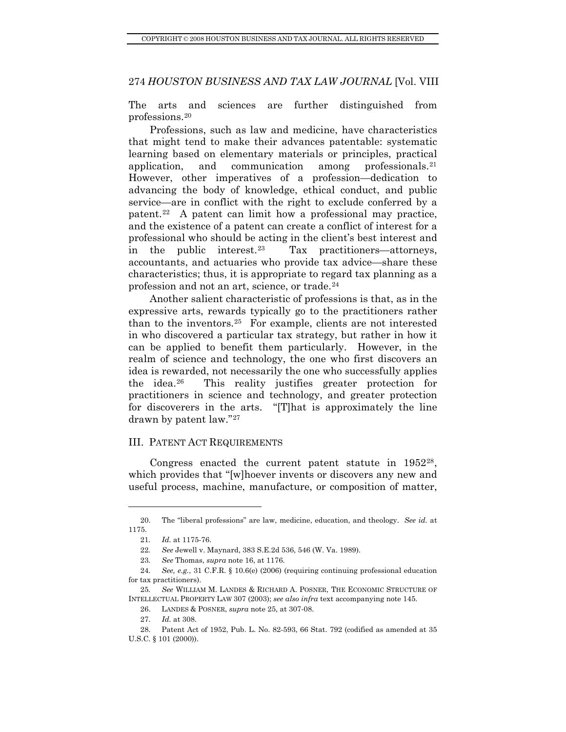<span id="page-3-0"></span>The arts and sciences are further distinguished from professions.[20](#page-3-1)

Professions, such as law and medicine, have characteristics that might tend to make their advances patentable: systematic learning based on elementary materials or principles, practical application, and communication among professionals.[21](#page-3-2) However, other imperatives of a profession—dedication to advancing the body of knowledge, ethical conduct, and public service—are in conflict with the right to exclude conferred by a patent.[22](#page-3-3) A patent can limit how a professional may practice, and the existence of a patent can create a conflict of interest for a professional who should be acting in the client's best interest and in the public interest.[23](#page-3-4) Tax practitioners—attorneys, accountants, and actuaries who provide tax advice—share these characteristics; thus, it is appropriate to regard tax planning as a profession and not an art, science, or trade.[24](#page-3-5)

Another salient characteristic of professions is that, as in the expressive arts, rewards typically go to the practitioners rather than to the inventors.[25](#page-3-6) For example, clients are not interested in who discovered a particular tax strategy, but rather in how it can be applied to benefit them particularly. However, in the realm of science and technology, the one who first discovers an idea is rewarded, not necessarily the one who successfully applies the idea.[26](#page-3-7) This reality justifies greater protection for practitioners in science and technology, and greater protection for discoverers in the arts. "[T]hat is approximately the line drawn by patent law."[27](#page-3-8)

#### III. PATENT ACT REQUIREMENTS

Congress enacted the current patent statute in 1952[28](#page-3-9), which provides that "[w]hoever invents or discovers any new and useful process, machine, manufacture, or composition of matter,

<span id="page-3-2"></span><span id="page-3-1"></span> <sup>20.</sup> The "liberal professions" are law, medicine, education, and theology. *See id.* at 1175.

<sup>21</sup>*. Id.* at 1175-76.

<sup>22</sup>*. See* Jewell v. Maynard, 383 S.E.2d 536, 546 (W. Va. 1989).

<sup>23</sup>*. See* Thomas, *supra* note 16, at 1176.

<span id="page-3-5"></span><span id="page-3-4"></span><span id="page-3-3"></span><sup>24</sup>*. See, e.g.*, 31 C.F.R. § 10.6(e) (2006) (requiring continuing professional education for tax practitioners).

<span id="page-3-7"></span><span id="page-3-6"></span><sup>25</sup>*. See* WILLIAM M. LANDES & RICHARD A. POSNER, THE ECONOMIC STRUCTURE OF INTELLECTUAL PROPERTY LAW 307 (2003); *see also infra* text accompanying note 145.

 <sup>26.</sup> LANDES & POSNER, *supra* note 25, at 307-08.

<sup>27</sup>*. Id.* at 308.

<span id="page-3-9"></span><span id="page-3-8"></span> <sup>28.</sup> Patent Act of 1952, Pub. L. No. 82-593, 66 Stat. 792 (codified as amended at 35 U.S.C. § 101 (2000)).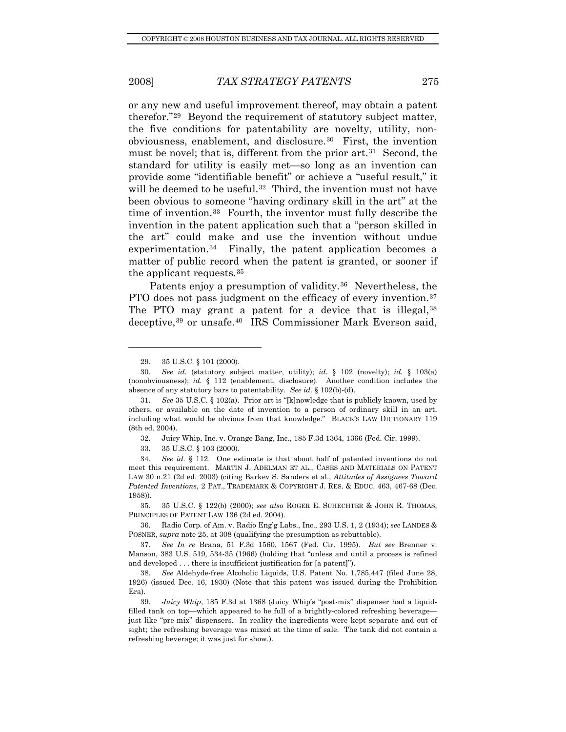l

#### 2008] *TAX STRATEGY PATENTS* 275

or any new and useful improvement thereof, may obtain a patent therefor."[29](#page-4-0) Beyond the requirement of statutory subject matter, the five conditions for patentability are novelty, utility, nonobviousness, enablement, and disclosure.[30](#page-4-1) First, the invention must be novel; that is, different from the prior art.<sup>[31](#page-4-2)</sup> Second, the standard for utility is easily met—so long as an invention can provide some "identifiable benefit" or achieve a "useful result," it will be deemed to be useful.<sup>[32](#page-4-3)</sup> Third, the invention must not have been obvious to someone "having ordinary skill in the art" at the time of invention.[33](#page-4-4) Fourth, the inventor must fully describe the invention in the patent application such that a "person skilled in the art" could make and use the invention without undue experimentation.<sup>34</sup> Finally, the patent application becomes a matter of public record when the patent is granted, or sooner if the applicant requests.[35](#page-4-6)

Patents enjoy a presumption of validity.<sup>[36](#page-4-7)</sup> Nevertheless, the PTO does not pass judgment on the efficacy of every invention.<sup>[37](#page-4-8)</sup> The PTO may grant a patent for a device that is illegal, [38](#page-4-9) deceptive,[39](#page-4-10) or unsafe.[40](#page-4-11) IRS Commissioner Mark Everson said,

32. Juicy Whip, Inc. v. Orange Bang, Inc., 185 F.3d 1364, 1366 (Fed. Cir. 1999).

<span id="page-4-11"></span><span id="page-4-6"></span> 35. 35 U.S.C. § 122(b) (2000); *see also* ROGER E. SCHECHTER & JOHN R. THOMAS, PRINCIPLES OF PATENT LAW 136 (2d ed. 2004).

<span id="page-4-7"></span> 36. Radio Corp. of Am. v. Radio Eng'g Labs., Inc., 293 U.S. 1, 2 (1934); *see* LANDES & POSNER, *supra* note 25, at 308 (qualifying the presumption as rebuttable).

 <sup>29. 35</sup> U.S.C. § 101 (2000).

<span id="page-4-1"></span><span id="page-4-0"></span><sup>30</sup>*. See id.* (statutory subject matter, utility); *id.* § 102 (novelty); *id.* § 103(a) (nonobviousness); *id.* § 112 (enablement, disclosure). Another condition includes the absence of any statutory bars to patentability. *See id.* § 102(b)-(d).

<span id="page-4-2"></span><sup>31</sup>*. See* 35 U.S.C. § 102(a). Prior art is "[k]nowledge that is publicly known, used by others, or available on the date of invention to a person of ordinary skill in an art, including what would be obvious from that knowledge." BLACK'S LAW DICTIONARY 119 (8th ed. 2004).

 <sup>33. 35</sup> U.S.C. § 103 (2000).

<span id="page-4-5"></span><span id="page-4-4"></span><span id="page-4-3"></span><sup>34</sup>*. See id.* § 112. One estimate is that about half of patented inventions do not meet this requirement. MARTIN J. ADELMAN ET AL., CASES AND MATERIALS ON PATENT LAW 30 n.21 (2d ed. 2003) (citing Barkev S. Sanders et al., *Attitudes of Assignees Toward Patented Inventions*, 2 PAT., TRADEMARK & COPYRIGHT J. RES. & EDUC. 463, 467-68 (Dec. 1958)).

<span id="page-4-8"></span><sup>37</sup>*. See In re* Brana, 51 F.3d 1560, 1567 (Fed. Cir. 1995). *But see* Brenner v. Manson, 383 U.S. 519, 534-35 (1966) (holding that "unless and until a process is refined and developed . . . there is insufficient justification for [a patent]").

<span id="page-4-9"></span><sup>38</sup>*. See* Aldehyde-free Alcoholic Liquids, U.S. Patent No. 1,785,447 (filed June 28, 1926) (issued Dec. 16, 1930) (Note that this patent was issued during the Prohibition Era).

<span id="page-4-10"></span><sup>39</sup>*. Juicy Whip*, 185 F.3d at 1368 (Juicy Whip's "post-mix" dispenser had a liquidfilled tank on top—which appeared to be full of a brightly-colored refreshing beverage just like "pre-mix" dispensers. In reality the ingredients were kept separate and out of sight; the refreshing beverage was mixed at the time of sale. The tank did not contain a refreshing beverage; it was just for show.).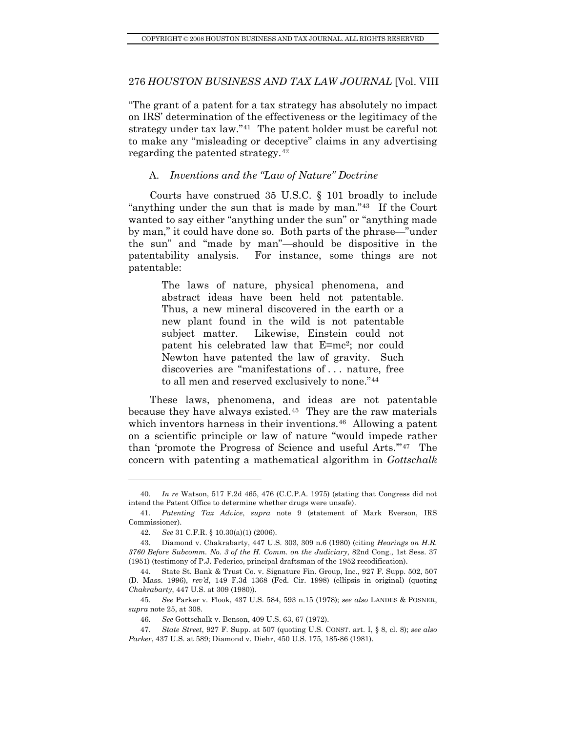<span id="page-5-0"></span>"The grant of a patent for a tax strategy has absolutely no impact on IRS' determination of the effectiveness or the legitimacy of the strategy under tax law."[41](#page-5-1) The patent holder must be careful not to make any "misleading or deceptive" claims in any advertising regarding the patented strategy.[42](#page-5-2)

## A. *Inventions and the "Law of Nature" Doctrine*

Courts have construed 35 U.S.C. § 101 broadly to include "anything under the sun that is made by man."[43](#page-5-3) If the Court wanted to say either "anything under the sun" or "anything made by man," it could have done so. Both parts of the phrase—"under the sun" and "made by man"—should be dispositive in the patentability analysis. For instance, some things are not patentable:

> The laws of nature, physical phenomena, and abstract ideas have been held not patentable. Thus, a new mineral discovered in the earth or a new plant found in the wild is not patentable subject matter. Likewise, Einstein could not patent his celebrated law that E=mc2; nor could Newton have patented the law of gravity. Such discoveries are "manifestations of . . . nature, free to all men and reserved exclusively to none."[44](#page-5-4)

These laws, phenomena, and ideas are not patentable because they have always existed[.45](#page-5-5) They are the raw materials which inventors harness in their inventions.<sup>[46](#page-5-6)</sup> Allowing a patent on a scientific principle or law of nature "would impede rather than 'promote the Progress of Science and useful Arts.'"[47](#page-5-7) The concern with patenting a mathematical algorithm in *Gottschalk* 

<sup>40</sup>*. In re* Watson, 517 F.2d 465, 476 (C.C.P.A. 1975) (stating that Congress did not intend the Patent Office to determine whether drugs were unsafe).

<span id="page-5-1"></span><sup>41</sup>*. Patenting Tax Advice*, *supra* note 9 (statement of Mark Everson, IRS Commissioner).

<sup>42</sup>*. See* 31 C.F.R. § 10.30(a)(1) (2006).

<span id="page-5-3"></span><span id="page-5-2"></span> <sup>43.</sup> Diamond v. Chakrabarty, 447 U.S. 303, 309 n.6 (1980) (citing *Hearings on H.R. 3760 Before Subcomm. No. 3 of the H. Comm. on the Judiciary*, 82nd Cong., 1st Sess. 37 (1951) (testimony of P.J. Federico, principal draftsman of the 1952 recodification).

<span id="page-5-4"></span> <sup>44.</sup> State St. Bank & Trust Co. v. Signature Fin. Group, Inc., 927 F. Supp. 502, 507 (D. Mass. 1996), *rev'd*, 149 F.3d 1368 (Fed. Cir. 1998) (ellipsis in original) (quoting *Chakrabarty*, 447 U.S. at 309 (1980)).

<span id="page-5-5"></span><sup>45</sup>*. See* Parker v. Flook, 437 U.S. 584, 593 n.15 (1978); *see also* LANDES & POSNER, *supra* note 25, at 308.

<sup>46</sup>*. See* Gottschalk v. Benson, 409 U.S. 63, 67 (1972).

<span id="page-5-7"></span><span id="page-5-6"></span><sup>47</sup>*. State Street*, 927 F. Supp. at 507 (quoting U.S. CONST. art. I, § 8, cl. 8); *see also Parker*, 437 U.S. at 589; Diamond v. Diehr, 450 U.S. 175, 185-86 (1981).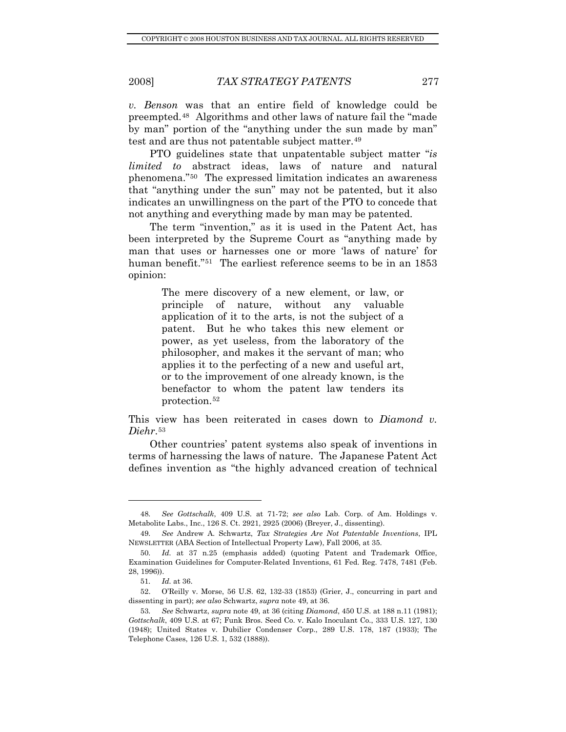*v. Benson* was that an entire field of knowledge could be preempted.[48](#page-6-0) Algorithms and other laws of nature fail the "made by man" portion of the "anything under the sun made by man" test and are thus not patentable subject matter.<sup>[49](#page-6-1)</sup>

PTO guidelines state that unpatentable subject matter "*is limited to* abstract ideas, laws of nature and natural phenomena."[50](#page-6-2) The expressed limitation indicates an awareness that "anything under the sun" may not be patented, but it also indicates an unwillingness on the part of the PTO to concede that not anything and everything made by man may be patented.

The term "invention," as it is used in the Patent Act, has been interpreted by the Supreme Court as "anything made by man that uses or harnesses one or more 'laws of nature' for human benefit."<sup>[51](#page-6-3)</sup> The earliest reference seems to be in an 1853 opinion:

> The mere discovery of a new element, or law, or principle of nature, without any valuable application of it to the arts, is not the subject of a patent. But he who takes this new element or power, as yet useless, from the laboratory of the philosopher, and makes it the servant of man; who applies it to the perfecting of a new and useful art, or to the improvement of one already known, is the benefactor to whom the patent law tenders its protection.[52](#page-6-4)

This view has been reiterated in cases down to *Diamond v. Diehr*.[53](#page-6-5)

Other countries' patent systems also speak of inventions in terms of harnessing the laws of nature. The Japanese Patent Act defines invention as "the highly advanced creation of technical

<span id="page-6-0"></span><sup>48</sup>*. See Gottschalk*, 409 U.S. at 71-72; *see also* Lab. Corp. of Am. Holdings v. Metabolite Labs., Inc., 126 S. Ct. 2921, 2925 (2006) (Breyer, J., dissenting).

<span id="page-6-1"></span><sup>49</sup>*. See* Andrew A. Schwartz, *Tax Strategies Are Not Patentable Inventions*, IPL NEWSLETTER (ABA Section of Intellectual Property Law), Fall 2006, at 35.

<span id="page-6-2"></span><sup>50</sup>*. Id.* at 37 n.25 (emphasis added) (quoting Patent and Trademark Office, Examination Guidelines for Computer-Related Inventions, 61 Fed. Reg. 7478, 7481 (Feb. 28, 1996)).

<sup>51</sup>*. Id.* at 36.

<span id="page-6-4"></span><span id="page-6-3"></span> <sup>52.</sup> O'Reilly v. Morse, 56 U.S. 62, 132-33 (1853) (Grier, J., concurring in part and dissenting in part); *see also* Schwartz, *supra* note 49, at 36.

<span id="page-6-5"></span><sup>53</sup>*. See* Schwartz, *supra* note 49, at 36 (citing *Diamond*, 450 U.S. at 188 n.11 (1981); *Gottschalk*, 409 U.S. at 67; Funk Bros. Seed Co. v. Kalo Inoculant Co., 333 U.S. 127, 130 (1948); United States v. Dubilier Condenser Corp., 289 U.S. 178, 187 (1933); The Telephone Cases, 126 U.S. 1, 532 (1888)).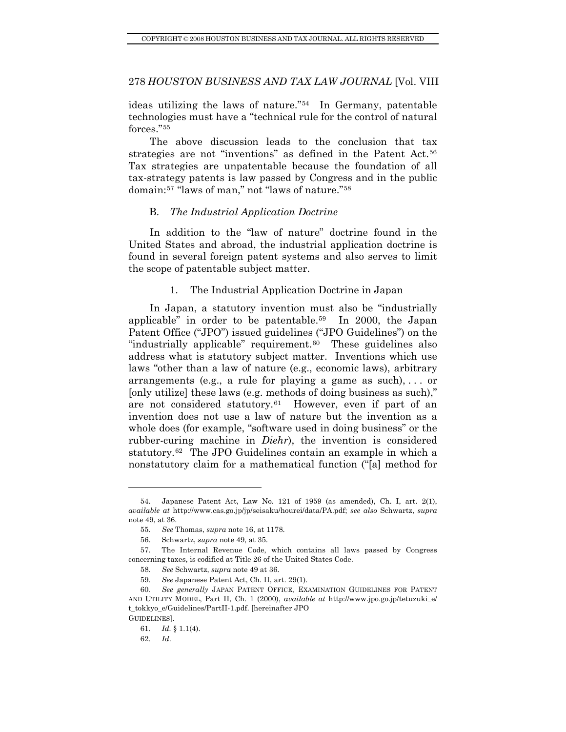<span id="page-7-0"></span>ideas utilizing the laws of nature."[54](#page-7-1) In Germany, patentable technologies must have a "technical rule for the control of natural forces."[55](#page-7-2)

The above discussion leads to the conclusion that tax strategies are not "inventions" as defined in the Patent Act.<sup>[56](#page-7-3)</sup> Tax strategies are unpatentable because the foundation of all tax-strategy patents is law passed by Congress and in the public domain:[57](#page-7-4) "laws of man," not "laws of nature."[58](#page-7-5)

#### B. *The Industrial Application Doctrine*

In addition to the "law of nature" doctrine found in the United States and abroad, the industrial application doctrine is found in several foreign patent systems and also serves to limit the scope of patentable subject matter.

#### 1. The Industrial Application Doctrine in Japan

In Japan, a statutory invention must also be "industrially applicable" in order to be patentable.[59](#page-7-6) In 2000, the Japan Patent Office ("JPO") issued guidelines ("JPO Guidelines") on the "industrially applicable" requirement.<sup>[60](#page-7-7)</sup> These guidelines also address what is statutory subject matter. Inventions which use laws "other than a law of nature (e.g., economic laws), arbitrary arrangements (e.g., a rule for playing a game as such),  $\ldots$  or [only utilize] these laws (e.g. methods of doing business as such)," are not considered statutory.[61](#page-7-8) However, even if part of an invention does not use a law of nature but the invention as a whole does (for example, "software used in doing business" or the rubber-curing machine in *Diehr*), the invention is considered statutory.<sup>[62](#page-7-9)</sup> The JPO Guidelines contain an example in which a nonstatutory claim for a mathematical function ("[a] method for

<span id="page-7-1"></span> <sup>54.</sup> Japanese Patent Act, Law No. 121 of 1959 (as amended), Ch. I, art. 2(1), *available at* http://www.cas.go.jp/jp/seisaku/hourei/data/PA.pdf; *see also* Schwartz, *supra* note 49, at 36.

<sup>55</sup>*. See* Thomas, *supra* note 16, at 1178.

 <sup>56.</sup> Schwartz, *supra* note 49, at 35.

<span id="page-7-5"></span><span id="page-7-4"></span><span id="page-7-3"></span><span id="page-7-2"></span> <sup>57.</sup> The Internal Revenue Code, which contains all laws passed by Congress concerning taxes, is codified at Title 26 of the United States Code.

<sup>58</sup>*. See* Schwartz, *supra* note 49 at 36.

<sup>59</sup>*. See* Japanese Patent Act, Ch. II, art. 29(1).

<span id="page-7-9"></span><span id="page-7-8"></span><span id="page-7-7"></span><span id="page-7-6"></span><sup>60</sup>*. See generally* JAPAN PATENT OFFICE, EXAMINATION GUIDELINES FOR PATENT AND UTILITY MODEL, Part II, Ch. 1 (2000), *available at* http://www.jpo.go.jp/tetuzuki\_e/ t\_tokkyo\_e/Guidelines/PartII-1.pdf. [hereinafter JPO GUIDELINES].

<sup>61</sup>*. Id.* § 1.1(4).

<sup>62</sup>*. Id*.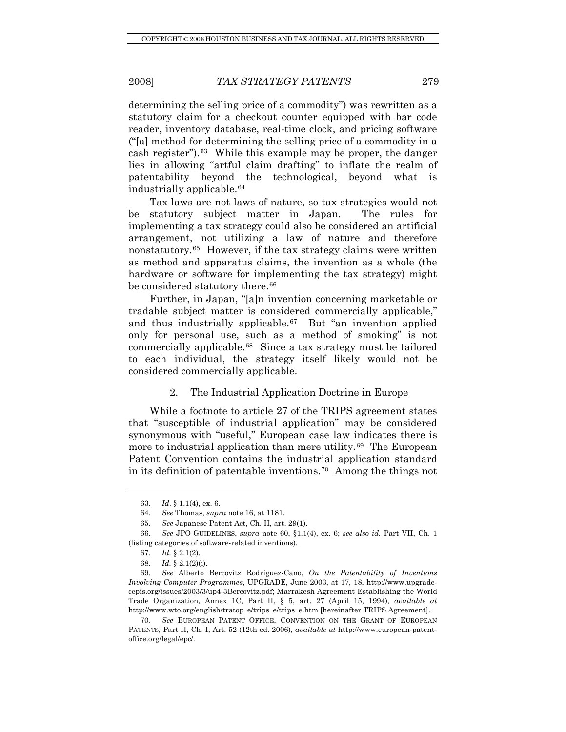<span id="page-8-0"></span>determining the selling price of a commodity") was rewritten as a statutory claim for a checkout counter equipped with bar code reader, inventory database, real-time clock, and pricing software ("[a] method for determining the selling price of a commodity in a cash register").[63](#page-8-1) While this example may be proper, the danger lies in allowing "artful claim drafting" to inflate the realm of patentability beyond the technological, beyond what is industrially applicable.[64](#page-8-2)

Tax laws are not laws of nature, so tax strategies would not be statutory subject matter in Japan. The rules for implementing a tax strategy could also be considered an artificial arrangement, not utilizing a law of nature and therefore nonstatutory.[65](#page-8-3) However, if the tax strategy claims were written as method and apparatus claims, the invention as a whole (the hardware or software for implementing the tax strategy) might be considered statutory there.<sup>[66](#page-8-4)</sup>

Further, in Japan, "[a]n invention concerning marketable or tradable subject matter is considered commercially applicable," and thus industrially applicable.[67](#page-8-5) But "an invention applied only for personal use, such as a method of smoking" is not commercially applicable.[68](#page-8-6) Since a tax strategy must be tailored to each individual, the strategy itself likely would not be considered commercially applicable.

#### 2. The Industrial Application Doctrine in Europe

While a footnote to article 27 of the TRIPS agreement states that "susceptible of industrial application" may be considered synonymous with "useful," European case law indicates there is more to industrial application than mere utility.<sup>[69](#page-8-7)</sup> The European Patent Convention contains the industrial application standard in its definition of patentable inventions.[70](#page-8-8) Among the things not

<sup>63</sup>*. Id*. § 1.1(4), ex. 6.

<sup>64</sup>*. See* Thomas, *supra* note 16, at 1181.

<sup>65</sup>*. See* Japanese Patent Act, Ch. II, art. 29(1).

<span id="page-8-5"></span><span id="page-8-4"></span><span id="page-8-3"></span><span id="page-8-2"></span><span id="page-8-1"></span><sup>66</sup>*. See* JPO GUIDELINES, *supra* note 60, §1.1(4), ex. 6; *see also id.* Part VII, Ch. 1 (listing categories of software-related inventions).

<sup>67</sup>*. Id.* § 2.1(2).

<sup>68</sup>*. Id.* § 2.1(2)(i).

<span id="page-8-7"></span><span id="page-8-6"></span><sup>69</sup>*. See* Alberto Bercovitz Rodríguez-Cano, *On the Patentability of Inventions Involving Computer Programmes*, UPGRADE, June 2003, at 17, 18, http://www.upgradecepis.org/issues/2003/3/up4-3Bercovitz.pdf; Marrakesh Agreement Establishing the World Trade Organization, Annex 1C, Part II, § 5, art. 27 (April 15, 1994), *available at*  http://www.wto.org/english/tratop\_e/trips\_e/trips\_e.htm [hereinafter TRIPS Agreement].

<span id="page-8-8"></span><sup>70</sup>*. See* EUROPEAN PATENT OFFICE, CONVENTION ON THE GRANT OF EUROPEAN PATENTS, Part II, Ch. I, Art. 52 (12th ed. 2006), *available at* http://www.european-patentoffice.org/legal/epc/.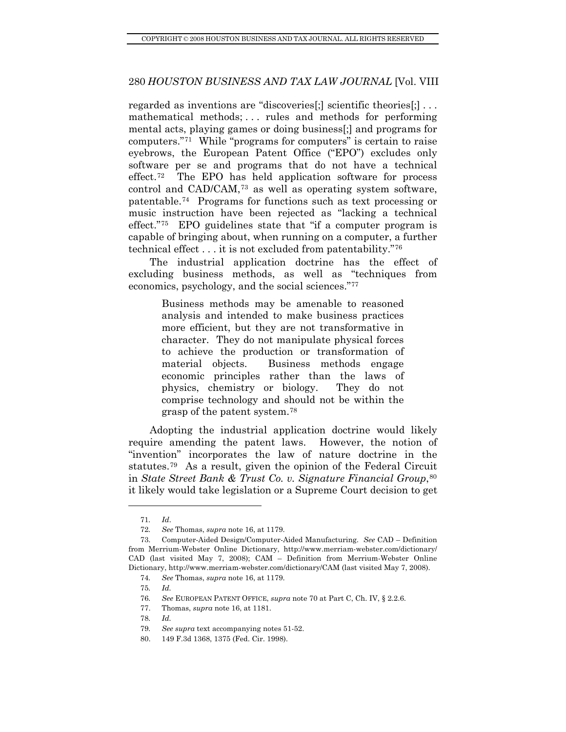regarded as inventions are "discoveries[;] scientific theories[;] . . . mathematical methods; . . . rules and methods for performing mental acts, playing games or doing business[;] and programs for computers."[71](#page-9-0) While "programs for computers" is certain to raise eyebrows, the European Patent Office ("EPO") excludes only software per se and programs that do not have a technical effect.[72](#page-9-1) The EPO has held application software for process control and CAD/CAM,[73](#page-9-2) as well as operating system software, patentable.[74](#page-9-3) Programs for functions such as text processing or music instruction have been rejected as "lacking a technical effect."[75](#page-9-4) EPO guidelines state that "if a computer program is capable of bringing about, when running on a computer, a further technical effect . . . it is not excluded from patentability."[76](#page-9-5)

The industrial application doctrine has the effect of excluding business methods, as well as "techniques from economics, psychology, and the social sciences."[77](#page-9-6)

> Business methods may be amenable to reasoned analysis and intended to make business practices more efficient, but they are not transformative in character. They do not manipulate physical forces to achieve the production or transformation of material objects. Business methods engage economic principles rather than the laws of physics, chemistry or biology. They do not comprise technology and should not be within the grasp of the patent system.[78](#page-9-7)

Adopting the industrial application doctrine would likely require amending the patent laws. However, the notion of "invention" incorporates the law of nature doctrine in the statutes.[79](#page-9-8) As a result, given the opinion of the Federal Circuit in *State Street Bank & Trust Co. v. Signature Financial Group*, <sup>[80](#page-9-9)</sup> it likely would take legislation or a Supreme Court decision to get

<sup>71</sup>*. Id*.

<sup>72</sup>*. See* Thomas, *supra* note 16, at 1179.

<span id="page-9-4"></span><span id="page-9-3"></span><span id="page-9-2"></span><span id="page-9-1"></span><span id="page-9-0"></span> <sup>73.</sup> Computer-Aided Design/Computer-Aided Manufacturing. *See* CAD – Definition from Merrium-Webster Online Dictionary, http://www.merriam-webster.com/dictionary/ CAD (last visited May 7, 2008); CAM – Definition from Merrium-Webster Online Dictionary, http://www.merriam-webster.com/dictionary/CAM (last visited May 7, 2008).

<sup>74</sup>*. See* Thomas, *supra* note 16, at 1179.

<sup>75</sup>*. Id.*

<span id="page-9-5"></span><sup>76</sup>*. See* EUROPEAN PATENT OFFICE, *supra* note 70 at Part C, Ch. IV, § 2.2.6.

<span id="page-9-6"></span> <sup>77.</sup> Thomas, *supra* note 16, at 1181.

<span id="page-9-7"></span><sup>78</sup>*. Id.*

<sup>79</sup>*. See supra* text accompanying notes 51-52.

<span id="page-9-9"></span><span id="page-9-8"></span> <sup>80. 149</sup> F.3d 1368, 1375 (Fed. Cir. 1998).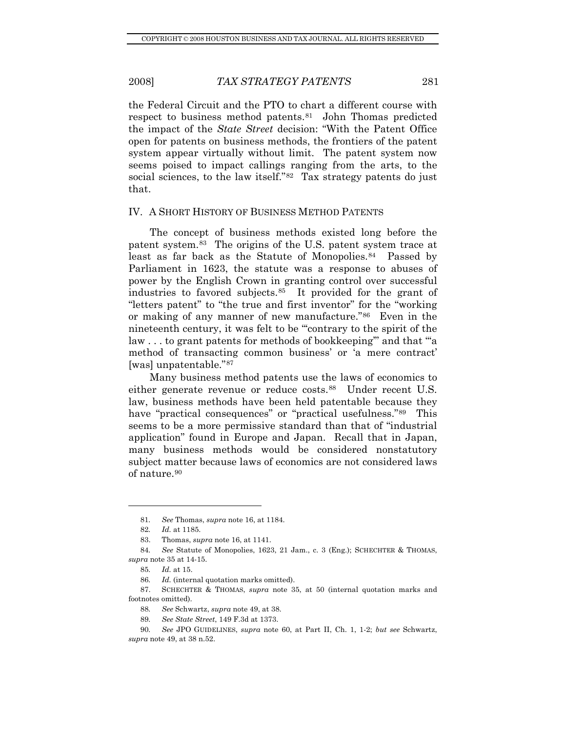<span id="page-10-0"></span>the Federal Circuit and the PTO to chart a different course with respect to business method patents.[81](#page-10-1) John Thomas predicted the impact of the *State Street* decision: "With the Patent Office open for patents on business methods, the frontiers of the patent system appear virtually without limit. The patent system now seems poised to impact callings ranging from the arts, to the social sciences, to the law itself."<sup>[82](#page-10-2)</sup> Tax strategy patents do just that.

#### IV. A SHORT HISTORY OF BUSINESS METHOD PATENTS

The concept of business methods existed long before the patent system.[83](#page-10-3) The origins of the U.S. patent system trace at least as far back as the Statute of Monopolies.<sup>[84](#page-10-4)</sup> Passed by Parliament in 1623, the statute was a response to abuses of power by the English Crown in granting control over successful industries to favored subjects.[85](#page-10-5) It provided for the grant of "letters patent" to "the true and first inventor" for the "working or making of any manner of new manufacture."[86](#page-10-6) Even in the nineteenth century, it was felt to be "'contrary to the spirit of the law . . . to grant patents for methods of bookkeeping'" and that "'a method of transacting common business' or 'a mere contract' [was] unpatentable."[87](#page-10-7)

Many business method patents use the laws of economics to either generate revenue or reduce costs.<sup>[88](#page-10-8)</sup> Under recent U.S. law, business methods have been held patentable because they have "practical consequences" or "practical usefulness.["89](#page-10-9) This seems to be a more permissive standard than that of "industrial application" found in Europe and Japan. Recall that in Japan, many business methods would be considered nonstatutory subject matter because laws of economics are not considered laws of nature.[90](#page-10-10)

<sup>81</sup>*. See* Thomas, *supra* note 16, at 1184.

<sup>82</sup>*. Id.* at 1185.

 <sup>83.</sup> Thomas, *supra* note 16, at 1141.

<span id="page-10-5"></span><span id="page-10-4"></span><span id="page-10-3"></span><span id="page-10-2"></span><span id="page-10-1"></span><sup>84</sup>*. See* Statute of Monopolies, 1623, 21 Jam., c. 3 (Eng.); SCHECHTER & THOMAS, *supra* note 35 at 14-15.

<sup>85</sup>*. Id.* at 15.

<sup>86</sup>*. Id.* (internal quotation marks omitted).

<span id="page-10-8"></span><span id="page-10-7"></span><span id="page-10-6"></span> <sup>87.</sup> SCHECHTER & THOMAS, *supra* note 35, at 50 (internal quotation marks and footnotes omitted).

<sup>88</sup>*. See* Schwartz, *supra* note 49, at 38.

<sup>89</sup>*. See State Street*, 149 F.3d at 1373.

<span id="page-10-10"></span><span id="page-10-9"></span><sup>90</sup>*. See* JPO GUIDELINES, *supra* note 60, at Part II, Ch. 1, 1-2; *but see* Schwartz, *supra* note 49, at 38 n.52.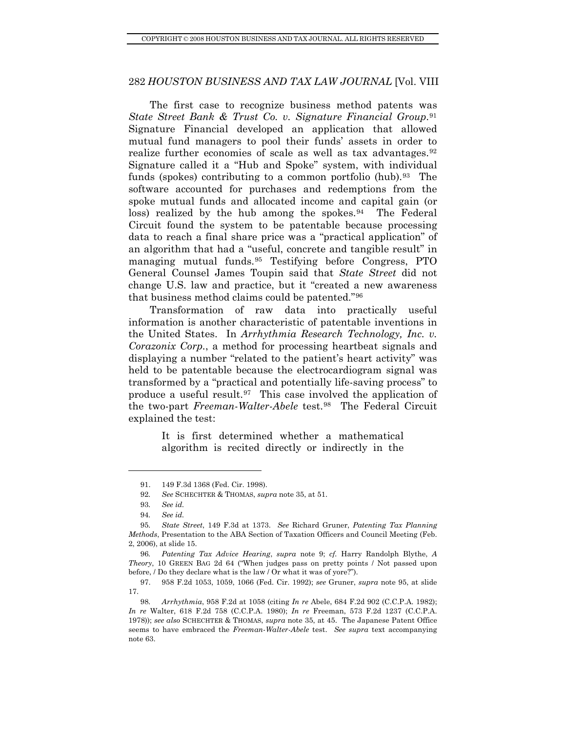The first case to recognize business method patents was *State Street Bank & Trust Co. v. Signature Financial Group.*<sup>[91](#page-11-0)</sup> Signature Financial developed an application that allowed mutual fund managers to pool their funds' assets in order to realize further economies of scale as well as tax advantages.<sup>[92](#page-11-1)</sup> Signature called it a "Hub and Spoke" system, with individual funds (spokes) contributing to a common portfolio (hub).<sup>[93](#page-11-2)</sup> The software accounted for purchases and redemptions from the spoke mutual funds and allocated income and capital gain (or loss) realized by the hub among the spokes. $94$  The Federal Circuit found the system to be patentable because processing data to reach a final share price was a "practical application" of an algorithm that had a "useful, concrete and tangible result" in managing mutual funds.[95](#page-11-4) Testifying before Congress, PTO General Counsel James Toupin said that *State Street* did not change U.S. law and practice, but it "created a new awareness that business method claims could be patented."[96](#page-11-5)

Transformation of raw data into practically useful information is another characteristic of patentable inventions in the United States. In *Arrhythmia Research Technology, Inc. v. Corazonix Corp.*, a method for processing heartbeat signals and displaying a number "related to the patient's heart activity" was held to be patentable because the electrocardiogram signal was transformed by a "practical and potentially life-saving process" to produce a useful result.[97](#page-11-6) This case involved the application of the two-part *Freeman-Walter-Abele* test.[98](#page-11-7) The Federal Circuit explained the test:

> It is first determined whether a mathematical algorithm is recited directly or indirectly in the

 <sup>91. 149</sup> F.3d 1368 (Fed. Cir. 1998).

<sup>92</sup>*. See* SCHECHTER & THOMAS, *supra* note 35, at 51.

<sup>93</sup>*. See id.*

<sup>94</sup>*. See id.*

<span id="page-11-4"></span><span id="page-11-3"></span><span id="page-11-2"></span><span id="page-11-1"></span><span id="page-11-0"></span><sup>95</sup>*. State Street*, 149 F.3d at 1373. *See* Richard Gruner, *Patenting Tax Planning Methods*, Presentation to the ABA Section of Taxation Officers and Council Meeting (Feb. 2, 2006), at slide 15.

<span id="page-11-5"></span><sup>96</sup>*. Patenting Tax Advice Hearing*, *supra* note 9; *cf.* Harry Randolph Blythe, *A Theory*, 10 GREEN BAG 2d 64 ("When judges pass on pretty points / Not passed upon before, / Do they declare what is the law / Or what it was of yore?").

<span id="page-11-6"></span> <sup>97. 958</sup> F.2d 1053, 1059, 1066 (Fed. Cir. 1992); *see* Gruner, *supra* note 95, at slide 17.

<span id="page-11-7"></span><sup>98</sup>*. Arrhythmia*, 958 F.2d at 1058 (citing *In re* Abele, 684 F.2d 902 (C.C.P.A. 1982); *In re* Walter, 618 F.2d 758 (C.C.P.A. 1980); *In re* Freeman, 573 F.2d 1237 (C.C.P.A. 1978)); *see also* SCHECHTER & THOMAS, *supra* note 35, at 45. The Japanese Patent Office seems to have embraced the *Freeman-Walter-Abele* test. *See supra* text accompanying note 63.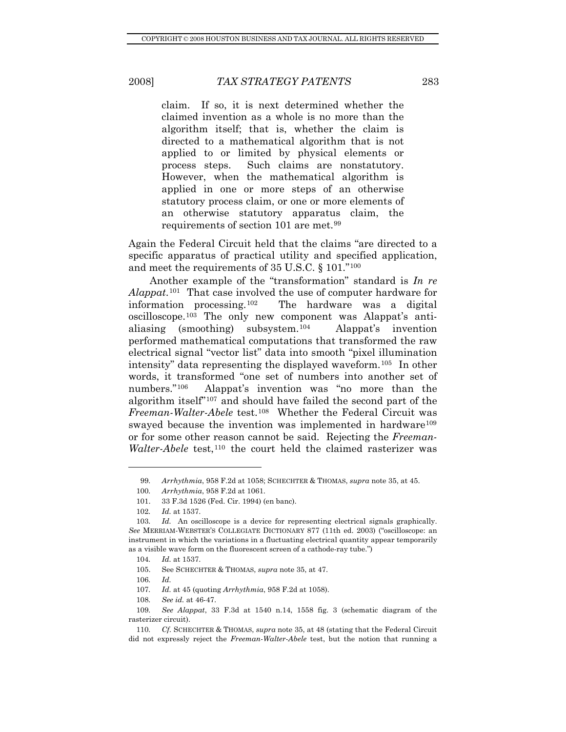claim. If so, it is next determined whether the claimed invention as a whole is no more than the algorithm itself; that is, whether the claim is directed to a mathematical algorithm that is not applied to or limited by physical elements or process steps. Such claims are nonstatutory. However, when the mathematical algorithm is applied in one or more steps of an otherwise statutory process claim, or one or more elements of an otherwise statutory apparatus claim, the requirements of section 101 are met.<sup>[99](#page-12-0)</sup>

Again the Federal Circuit held that the claims "are directed to a specific apparatus of practical utility and specified application, and meet the requirements of 35 U.S.C. § 101."[100](#page-12-1)

Another example of the "transformation" standard is *In re Alappat*.[101](#page-12-2) That case involved the use of computer hardware for information processing.[102](#page-12-3) The hardware was a digital oscilloscope.[103](#page-12-4) The only new component was Alappat's antialiasing (smoothing) subsystem.[104](#page-12-5) Alappat's invention performed mathematical computations that transformed the raw electrical signal "vector list" data into smooth "pixel illumination intensity" data representing the displayed waveform.[105](#page-12-6) In other words, it transformed "one set of numbers into another set of numbers."[106](#page-12-7) Alappat's invention was "no more than the algorithm itself"[107](#page-12-8) and should have failed the second part of the *Freeman-Walter-Abele* test.[108](#page-12-9) Whether the Federal Circuit was swayed because the invention was implemented in hardware<sup>[109](#page-12-10)</sup> or for some other reason cannot be said. Rejecting the *Freeman-Walter-Abele* test,<sup>[110](#page-12-11)</sup> the court held the claimed rasterizer was

<sup>99</sup>*. Arrhythmia*, 958 F.2d at 1058; SCHECHTER & THOMAS, *supra* note 35, at 45.

<sup>100</sup>*. Arrhythmia*, 958 F.2d at 1061.

 <sup>101. 33</sup> F.3d 1526 (Fed. Cir. 1994) (en banc).

<sup>102</sup>*. Id.* at 1537.

<span id="page-12-5"></span><span id="page-12-4"></span><span id="page-12-3"></span><span id="page-12-2"></span><span id="page-12-1"></span><span id="page-12-0"></span><sup>103</sup>*. Id.* An oscilloscope is a device for representing electrical signals graphically. *See* MERRIAM-WEBSTER'S COLLEGIATE DICTIONARY 877 (11th ed. 2003) ("oscilloscope: an instrument in which the variations in a fluctuating electrical quantity appear temporarily as a visible wave form on the fluorescent screen of a cathode-ray tube.")

<sup>104</sup>*. Id.* at 1537.

 <sup>105.</sup> See SCHECHTER & THOMAS, *supra* note 35, at 47.

<sup>106</sup>*. Id.*

<sup>107</sup>*. Id.* at 45 (quoting *Arrhythmia*, 958 F.2d at 1058).

<sup>108</sup>*. See id.* at 46-47.

<span id="page-12-10"></span><span id="page-12-9"></span><span id="page-12-8"></span><span id="page-12-7"></span><span id="page-12-6"></span><sup>109</sup>*. See Alappat*, 33 F.3d at 1540 n.14, 1558 fig. 3 (schematic diagram of the rasterizer circuit).

<span id="page-12-11"></span><sup>110</sup>*. Cf.* SCHECHTER & THOMAS, *supra* note 35, at 48 (stating that the Federal Circuit did not expressly reject the *Freeman-Walter-Abele* test, but the notion that running a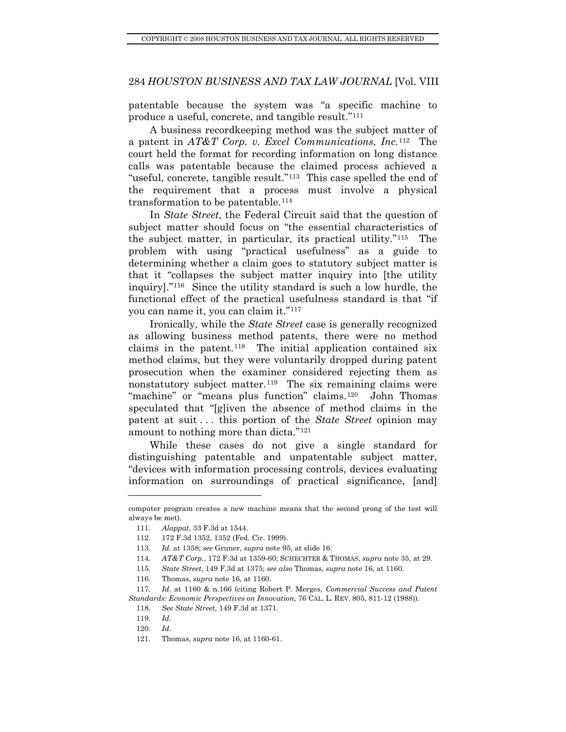patentable because the system was "a specific machine to produce a useful, concrete, and tangible result."[111](#page-13-0)

A business recordkeeping method was the subject matter of a patent in *AT&T Corp. v. Excel Communications, Inc.*[112](#page-13-1) The court held the format for recording information on long distance calls was patentable because the claimed process achieved a "useful, concrete, tangible result."<sup>113</sup> This case spelled the end of the requirement that a process must involve a physical transformation to be patentable.[114](#page-13-3)

In *State Street*, the Federal Circuit said that the question of subject matter should focus on "the essential characteristics of the subject matter, in particular, its practical utility."[115](#page-13-4) The problem with using "practical usefulness" as a guide to determining whether a claim goes to statutory subject matter is that it "collapses the subject matter inquiry into [the utility inquiry]."[116](#page-13-5) Since the utility standard is such a low hurdle, the functional effect of the practical usefulness standard is that "if you can name it, you can claim it."[117](#page-13-6)

Ironically, while the *State Street* case is generally recognized as allowing business method patents, there were no method claims in the patent.<sup>[118](#page-13-7)</sup> The initial application contained six method claims, but they were voluntarily dropped during patent prosecution when the examiner considered rejecting them as nonstatutory subject matter.<sup>[119](#page-13-8)</sup> The six remaining claims were "machine" or "means plus function" claims.<sup>[120](#page-13-9)</sup> John Thomas speculated that "[g]iven the absence of method claims in the patent at suit . . . this portion of the *State Street* opinion may amount to nothing more than dicta."[121](#page-13-10)

While these cases do not give a single standard for distinguishing patentable and unpatentable subject matter, "devices with information processing controls, devices evaluating information on surroundings of practical significance, [and]

<span id="page-13-2"></span><span id="page-13-1"></span><span id="page-13-0"></span>computer program creates a new machine means that the second prong of the test will always be met).

<sup>111</sup>*. Alappat*, 33 F.3d at 1544.

 <sup>112. 172</sup> F.3d 1352, 1352 (Fed. Cir. 1999).

<sup>113</sup>*. Id.* at 1358; *see* Gruner, *supra* note 95, at slide 16.

<sup>114</sup>*. AT&T Corp.*, 172 F.3d at 1359-60; SCHECHTER & THOMAS, *supra* note 35, at 29.

<sup>115</sup>*. State Street*, 149 F.3d at 1375; *see also* Thomas, *supra* note 16, at 1160.

 <sup>116.</sup> Thomas, *supra* note 16, at 1160.

<span id="page-13-8"></span><span id="page-13-7"></span><span id="page-13-6"></span><span id="page-13-5"></span><span id="page-13-4"></span><span id="page-13-3"></span><sup>117</sup>*. Id.* at 1160 & n.166 (citing Robert P. Merges, *Commercial Success and Patent Standards: Economic Perspectives on Innovation*, 76 CAL. L. REV. 805, 811-12 (1988)).

<sup>118</sup>*. See State Street*, 149 F.3d at 1371.

<sup>119</sup>*. Id.*

<span id="page-13-10"></span><span id="page-13-9"></span><sup>120</sup>*. Id.*

 <sup>121.</sup> Thomas, *supra* note 16, at 1160-61.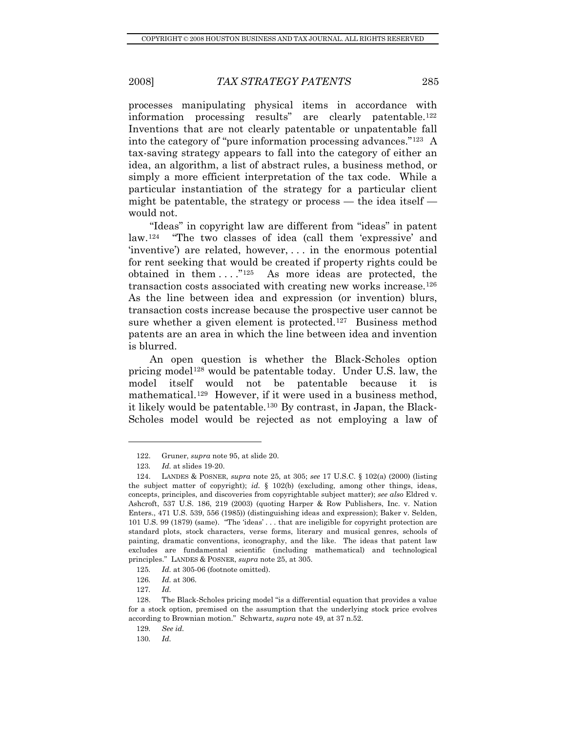processes manipulating physical items in accordance with information processing results" are clearly patentable.[122](#page-14-0) Inventions that are not clearly patentable or unpatentable fall into the category of "pure information processing advances."[123](#page-14-1) A tax-saving strategy appears to fall into the category of either an idea, an algorithm, a list of abstract rules, a business method, or simply a more efficient interpretation of the tax code. While a particular instantiation of the strategy for a particular client might be patentable, the strategy or process — the idea itself would not.

"Ideas" in copyright law are different from "ideas" in patent law.[124](#page-14-2) "The two classes of idea (call them 'expressive' and 'inventive') are related, however, . . . in the enormous potential for rent seeking that would be created if property rights could be obtained in them  $\dots$ ."<sup>[125](#page-14-3)</sup> As more ideas are protected, the transaction costs associated with creating new works increase.[126](#page-14-4) As the line between idea and expression (or invention) blurs, transaction costs increase because the prospective user cannot be sure whether a given element is protected.<sup>[127](#page-14-5)</sup> Business method patents are an area in which the line between idea and invention is blurred.

An open question is whether the Black-Scholes option pricing model<sup>[128](#page-14-6)</sup> would be patentable today. Under U.S. law, the model itself would not be patentable because it is mathematical.<sup>[129](#page-14-7)</sup> However, if it were used in a business method, it likely would be patentable.[130](#page-14-8) By contrast, in Japan, the Black-Scholes model would be rejected as not employing a law of

 <sup>122.</sup> Gruner, *supra* note 95, at slide 20.

<sup>123</sup>*. Id.* at slides 19-20.

<span id="page-14-2"></span><span id="page-14-1"></span><span id="page-14-0"></span> <sup>124.</sup> LANDES & POSNER, *supra* note 25, at 305; *see* 17 U.S.C. § 102(a) (2000) (listing the subject matter of copyright); *id.* § 102(b) (excluding, among other things, ideas, concepts, principles, and discoveries from copyrightable subject matter); *see also* Eldred v. Ashcroft, 537 U.S. 186, 219 (2003) (quoting Harper & Row Publishers, Inc. v. Nation Enters., 471 U.S. 539, 556 (1985)) (distinguishing ideas and expression); Baker v. Selden, 101 U.S. 99 (1879) (same). "The 'ideas' . . . that are ineligible for copyright protection are standard plots, stock characters, verse forms, literary and musical genres, schools of painting, dramatic conventions, iconography, and the like. The ideas that patent law excludes are fundamental scientific (including mathematical) and technological principles." LANDES & POSNER, *supra* note 25, at 305.

<sup>125</sup>*. Id.* at 305-06 (footnote omitted).

<sup>126</sup>*. Id.* at 306.

<sup>127</sup>*. Id.*

<span id="page-14-8"></span><span id="page-14-7"></span><span id="page-14-6"></span><span id="page-14-5"></span><span id="page-14-4"></span><span id="page-14-3"></span> <sup>128.</sup> The Black-Scholes pricing model "is a differential equation that provides a value for a stock option, premised on the assumption that the underlying stock price evolves according to Brownian motion." Schwartz, *supra* note 49, at 37 n.52.

<sup>129</sup>*. See id.*

<sup>130</sup>*. Id.*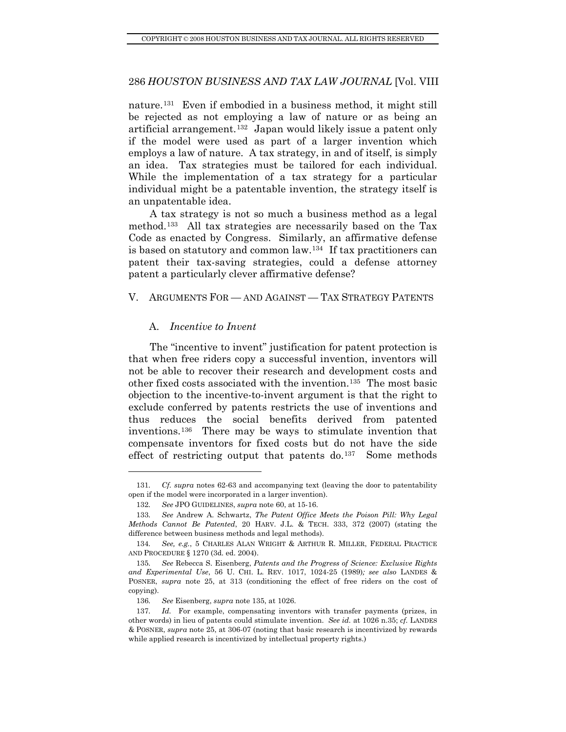<span id="page-15-0"></span>nature.[131](#page-15-1) Even if embodied in a business method, it might still be rejected as not employing a law of nature or as being an artificial arrangement.[132](#page-15-2) Japan would likely issue a patent only if the model were used as part of a larger invention which employs a law of nature. A tax strategy, in and of itself, is simply an idea. Tax strategies must be tailored for each individual. While the implementation of a tax strategy for a particular individual might be a patentable invention, the strategy itself is an unpatentable idea.

A tax strategy is not so much a business method as a legal method.[133](#page-15-3) All tax strategies are necessarily based on the Tax Code as enacted by Congress. Similarly, an affirmative defense is based on statutory and common law.[134](#page-15-4) If tax practitioners can patent their tax-saving strategies, could a defense attorney patent a particularly clever affirmative defense?

#### V. ARGUMENTS FOR — AND AGAINST — TAX STRATEGY PATENTS

#### A. *Incentive to Invent*

l

The "incentive to invent" justification for patent protection is that when free riders copy a successful invention, inventors will not be able to recover their research and development costs and other fixed costs associated with the invention.[135](#page-15-5) The most basic objection to the incentive-to-invent argument is that the right to exclude conferred by patents restricts the use of inventions and thus reduces the social benefits derived from patented inventions.[136](#page-15-6) There may be ways to stimulate invention that compensate inventors for fixed costs but do not have the side effect of restricting output that patents do.<sup>[137](#page-15-7)</sup> Some methods

<span id="page-15-1"></span><sup>131</sup>*. Cf. supra* notes 62-63 and accompanying text (leaving the door to patentability open if the model were incorporated in a larger invention).

<sup>132</sup>*. See* JPO GUIDELINES, *supra* note 60, at 15-16.

<span id="page-15-3"></span><span id="page-15-2"></span><sup>133</sup>*. See* Andrew A. Schwartz, *The Patent Office Meets the Poison Pill: Why Legal Methods Cannot Be Patented*, 20 HARV. J.L. & TECH. 333, 372 (2007) (stating the difference between business methods and legal methods).

<span id="page-15-4"></span><sup>134</sup>*. See, e.g.*, 5 CHARLES ALAN WRIGHT & ARTHUR R. MILLER, FEDERAL PRACTICE AND PROCEDURE § 1270 (3d. ed. 2004).

<span id="page-15-5"></span><sup>135</sup>*. See* Rebecca S. Eisenberg, *Patents and the Progress of Science: Exclusive Rights and Experimental Use*, 56 U. CHI. L. REV. 1017, 1024-25 (1989)*; see also* LANDES & POSNER, *supra* note 25, at 313 (conditioning the effect of free riders on the cost of copying).

<sup>136</sup>*. See* Eisenberg, *supra* note 135, at 1026.

<span id="page-15-7"></span><span id="page-15-6"></span><sup>137</sup>*. Id.* For example, compensating inventors with transfer payments (prizes, in other words) in lieu of patents could stimulate invention. *See id.* at 1026 n.35; *cf.* LANDES & POSNER, *supra* note 25, at 306-07 (noting that basic research is incentivized by rewards while applied research is incentivized by intellectual property rights.)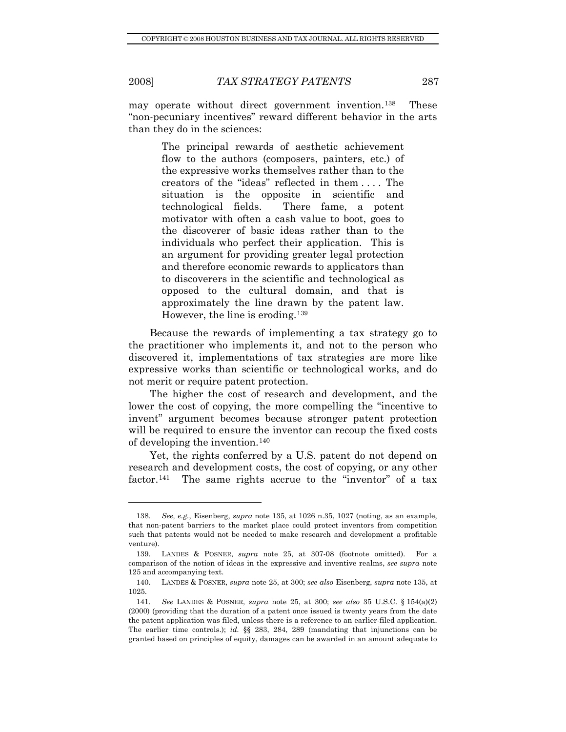l

than they do in the sciences: may operate without direct government invention.[138](#page-16-0) These "non-pecuniary incentives" reward different behavior in the arts

> The principal rewards of aesthetic achievement flow to the authors (composers, painters, etc.) of the expressive works themselves rather than to the creators of the "ideas" reflected in them . . . . The situation is the opposite in scientific and technological fields. There fame, a potent motivator with often a cash value to boot, goes to the discoverer of basic ideas rather than to the individuals who perfect their application. This is an argument for providing greater legal protection and therefore economic rewards to applicators than to discoverers in the scientific and technological as opposed to the cultural domain, and that is approximately the line drawn by the patent law. However, the line is eroding.[139](#page-16-1)

Because the rewards of implementing a tax strategy go to the practitioner who implements it, and not to the person who discovered it, implementations of tax strategies are more like expressive works than scientific or technological works, and do not merit or require patent protection.

The higher the cost of research and development, and the lower the cost of copying, the more compelling the "incentive to invent" argument becomes because stronger patent protection will be required to ensure the inventor can recoup the fixed costs of developing the invention.[140](#page-16-2)

Yet, the rights conferred by a U.S. patent do not depend on research and development costs, the cost of copying, or any other factor.<sup>[141](#page-16-3)</sup> The same rights accrue to the "inventor" of a tax

<span id="page-16-0"></span><sup>138</sup>*. See, e.g.*, Eisenberg, *supra* note 135, at 1026 n.35, 1027 (noting, as an example, that non-patent barriers to the market place could protect inventors from competition such that patents would not be needed to make research and development a profitable venture).

<span id="page-16-1"></span> <sup>139.</sup> LANDES & POSNER, *supra* note 25, at 307-08 (footnote omitted). For a comparison of the notion of ideas in the expressive and inventive realms, *see supra* note 125 and accompanying text.

<span id="page-16-2"></span> <sup>140.</sup> LANDES & POSNER, *supra* note 25, at 300; *see also* Eisenberg, *supra* note 135, at 1025.

<span id="page-16-3"></span><sup>141</sup>*. See* LANDES & POSNER, *supra* note 25, at 300; *see also* 35 U.S.C. § 154(a)(2) (2000) (providing that the duration of a patent once issued is twenty years from the date the patent application was filed, unless there is a reference to an earlier-filed application. The earlier time controls.); *id.* §§ 283, 284, 289 (mandating that injunctions can be granted based on principles of equity, damages can be awarded in an amount adequate to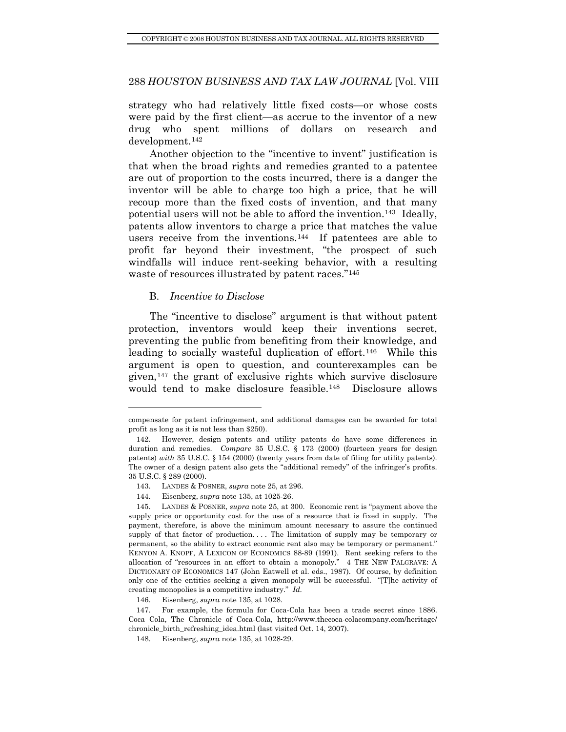<span id="page-17-0"></span>strategy who had relatively little fixed costs—or whose costs were paid by the first client—as accrue to the inventor of a new drug who spent millions of dollars on research and development.[142](#page-17-1)

Another objection to the "incentive to invent" justification is that when the broad rights and remedies granted to a patentee are out of proportion to the costs incurred, there is a danger the inventor will be able to charge too high a price, that he will recoup more than the fixed costs of invention, and that many potential users will not be able to afford the invention.[143](#page-17-2) Ideally, patents allow inventors to charge a price that matches the value users receive from the inventions.<sup>[144](#page-17-3)</sup> If patentees are able to profit far beyond their investment, "the prospect of such windfalls will induce rent-seeking behavior, with a resulting waste of resources illustrated by patent races."<sup>[145](#page-17-4)</sup>

### B. *Incentive to Disclose*

l

The "incentive to disclose" argument is that without patent protection, inventors would keep their inventions secret, preventing the public from benefiting from their knowledge, and leading to socially wasteful duplication of effort.<sup>[146](#page-17-5)</sup> While this argument is open to question, and counterexamples can be given, $147$  the grant of exclusive rights which survive disclosure would tend to make disclosure feasible.<sup>[148](#page-17-7)</sup> Disclosure allows

compensate for patent infringement, and additional damages can be awarded for total profit as long as it is not less than \$250).

<span id="page-17-1"></span> <sup>142.</sup> However, design patents and utility patents do have some differences in duration and remedies. *Compare* 35 U.S.C. § 173 (2000) (fourteen years for design patents) *with* 35 U.S.C. § 154 (2000) (twenty years from date of filing for utility patents). The owner of a design patent also gets the "additional remedy" of the infringer's profits. 35 U.S.C. § 289 (2000).

 <sup>143.</sup> LANDES & POSNER, *supra* note 25, at 296.

 <sup>144.</sup> Eisenberg, *supra* note 135, at 1025-26.

<span id="page-17-4"></span><span id="page-17-3"></span><span id="page-17-2"></span> <sup>145.</sup> LANDES & POSNER, *supra* note 25, at 300. Economic rent is "payment above the supply price or opportunity cost for the use of a resource that is fixed in supply. The payment, therefore, is above the minimum amount necessary to assure the continued supply of that factor of production. . . . The limitation of supply may be temporary or permanent, so the ability to extract economic rent also may be temporary or permanent." KENYON A. KNOPF, A LEXICON OF ECONOMICS 88-89 (1991). Rent seeking refers to the allocation of "resources in an effort to obtain a monopoly." 4 THE NEW PALGRAVE: A DICTIONARY OF ECONOMICS 147 (John Eatwell et al. eds., 1987). Of course, by definition only one of the entities seeking a given monopoly will be successful. "[T]he activity of creating monopolies is a competitive industry." *Id.*

 <sup>146.</sup> Eisenberg, *supra* note 135, at 1028.

<span id="page-17-7"></span><span id="page-17-6"></span><span id="page-17-5"></span> <sup>147.</sup> For example, the formula for Coca-Cola has been a trade secret since 1886. Coca Cola, The Chronicle of Coca-Cola, http://www.thecoca-colacompany.com/heritage/ chronicle\_birth\_refreshing\_idea.html (last visited Oct. 14, 2007).

 <sup>148.</sup> Eisenberg, *supra* note 135, at 1028-29.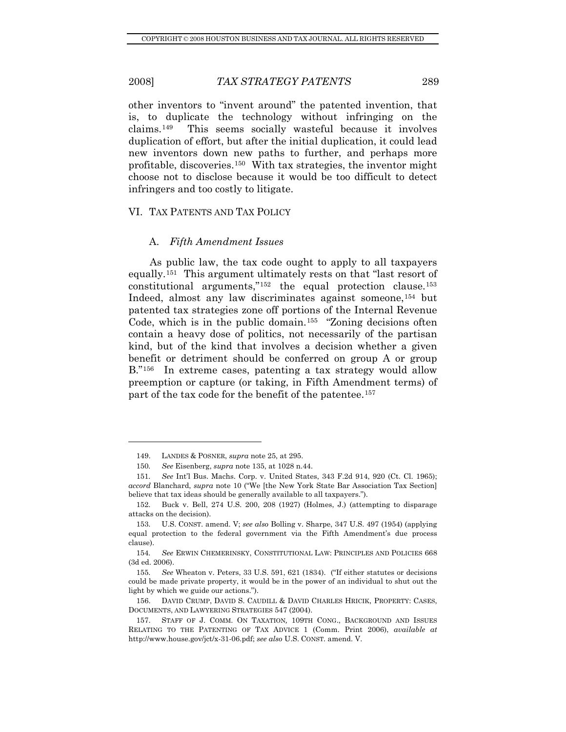<span id="page-18-0"></span>other inventors to "invent around" the patented invention, that is, to duplicate the technology without infringing on the claims.[149](#page-18-1) This seems socially wasteful because it involves duplication of effort, but after the initial duplication, it could lead new inventors down new paths to further, and perhaps more profitable, discoveries.[150](#page-18-2) With tax strategies, the inventor might choose not to disclose because it would be too difficult to detect infringers and too costly to litigate.

#### VI. TAX PATENTS AND TAX POLICY

#### A. *Fifth Amendment Issues*

As public law, the tax code ought to apply to all taxpayers equally.[151](#page-18-3) This argument ultimately rests on that "last resort of constitutional arguments,"[152](#page-18-4) the equal protection clause.[153](#page-18-5) Indeed, almost any law discriminates against someone,[154](#page-18-6) but patented tax strategies zone off portions of the Internal Revenue Code, which is in the public domain.<sup>[155](#page-18-7)</sup> "Zoning decisions often contain a heavy dose of politics, not necessarily of the partisan kind, but of the kind that involves a decision whether a given benefit or detriment should be conferred on group A or group B."<sup>[156](#page-18-8)</sup> In extreme cases, patenting a tax strategy would allow preemption or capture (or taking, in Fifth Amendment terms) of part of the tax code for the benefit of the patentee.[157](#page-18-9)

 <sup>149.</sup> LANDES & POSNER, *supra* note 25, at 295.

<sup>150</sup>*. See* Eisenberg, *supra* note 135, at 1028 n.44.

<span id="page-18-3"></span><span id="page-18-2"></span><span id="page-18-1"></span><sup>151</sup>*. See* Int'l Bus. Machs. Corp. v. United States, 343 F.2d 914, 920 (Ct. Cl. 1965); *accord* Blanchard, *supra* note 10 ("We [the New York State Bar Association Tax Section] believe that tax ideas should be generally available to all taxpayers.").

<span id="page-18-4"></span> <sup>152.</sup> Buck v. Bell, 274 U.S. 200, 208 (1927) (Holmes, J.) (attempting to disparage attacks on the decision).

<span id="page-18-5"></span> <sup>153.</sup> U.S. CONST. amend. V; *see also* Bolling v. Sharpe, 347 U.S. 497 (1954) (applying equal protection to the federal government via the Fifth Amendment's due process clause).

<span id="page-18-6"></span><sup>154</sup>*. See* ERWIN CHEMERINSKY, CONSTITUTIONAL LAW: PRINCIPLES AND POLICIES 668 (3d ed. 2006).

<span id="page-18-7"></span><sup>155</sup>*. See* Wheaton v. Peters, 33 U.S. 591, 621 (1834). ("If either statutes or decisions could be made private property, it would be in the power of an individual to shut out the light by which we guide our actions.").

<span id="page-18-8"></span> <sup>156.</sup> DAVID CRUMP, DAVID S. CAUDILL & DAVID CHARLES HRICIK, PROPERTY: CASES, DOCUMENTS, AND LAWYERING STRATEGIES 547 (2004).

<span id="page-18-9"></span> <sup>157.</sup> STAFF OF J. COMM. ON TAXATION*,* 109TH CONG., BACKGROUND AND ISSUES RELATING TO THE PATENTING OF TAX ADVICE 1 (Comm. Print 2006), *available at*  http://www.house.gov/jct/x-31-06.pdf; *see also* U.S. CONST. amend. V.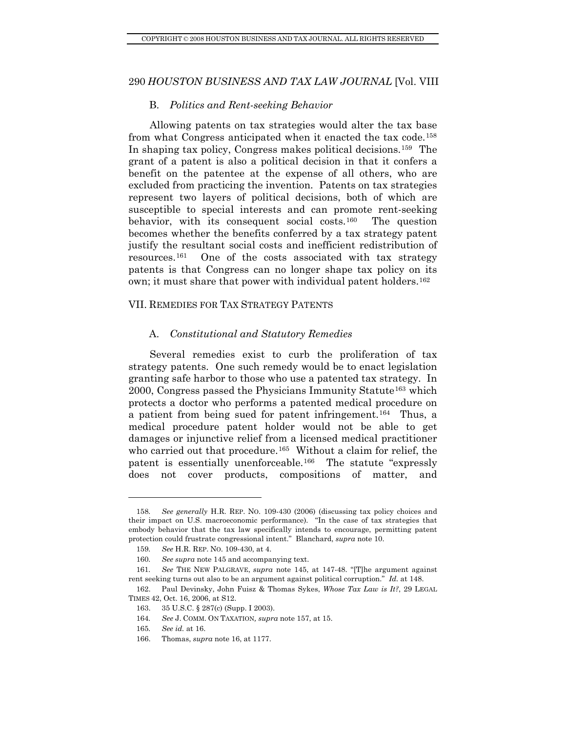#### B. *Politics and Rent-seeking Behavior*

<span id="page-19-0"></span>Allowing patents on tax strategies would alter the tax base from what Congress anticipated when it enacted the tax code.<sup>[158](#page-19-1)</sup> In shaping tax policy, Congress makes political decisions.[159](#page-19-2) The grant of a patent is also a political decision in that it confers a benefit on the patentee at the expense of all others, who are excluded from practicing the invention. Patents on tax strategies represent two layers of political decisions, both of which are susceptible to special interests and can promote rent-seeking behavior, with its consequent social costs.[160](#page-19-3) The question becomes whether the benefits conferred by a tax strategy patent justify the resultant social costs and inefficient redistribution of resources.[161](#page-19-4) One of the costs associated with tax strategy patents is that Congress can no longer shape tax policy on its own; it must share that power with individual patent holders.<sup>[162](#page-19-5)</sup>

#### VII. REMEDIES FOR TAX STRATEGY PATENTS

#### A. *Constitutional and Statutory Remedies*

Several remedies exist to curb the proliferation of tax strategy patents. One such remedy would be to enact legislation granting safe harbor to those who use a patented tax strategy. In 2000, Congress passed the Physicians Immunity Statute[163](#page-19-6) which protects a doctor who performs a patented medical procedure on a patient from being sued for patent infringement.[164](#page-19-7) Thus, a medical procedure patent holder would not be able to get damages or injunctive relief from a licensed medical practitioner who carried out that procedure.<sup>[165](#page-19-8)</sup> Without a claim for relief, the patent is essentially unenforceable.[166](#page-19-9) The statute "expressly does not cover products, compositions of matter, and

<span id="page-19-1"></span><sup>158</sup>*. See generally* H.R. REP. NO. 109-430 (2006) (discussing tax policy choices and their impact on U.S. macroeconomic performance). "In the case of tax strategies that embody behavior that the tax law specifically intends to encourage, permitting patent protection could frustrate congressional intent." Blanchard, *supra* note 10.

<sup>159</sup>*. See* H.R. REP. NO. 109-430, at 4.

<sup>160</sup>*. See supra* note 145 and accompanying text.

<span id="page-19-4"></span><span id="page-19-3"></span><span id="page-19-2"></span><sup>161</sup>*. See* THE NEW PALGRAVE, *supra* note 145, at 147-48. "[T]he argument against rent seeking turns out also to be an argument against political corruption." *Id.* at 148.

<span id="page-19-8"></span><span id="page-19-7"></span><span id="page-19-6"></span><span id="page-19-5"></span> <sup>162.</sup> Paul Devinsky, John Fuisz & Thomas Sykes, *Whose Tax Law is It?*, 29 LEGAL TIMES 42, Oct. 16, 2006, at S12.

 <sup>163. 35</sup> U.S.C. § 287(c) (Supp. I 2003).

<sup>164</sup>*. See* J. COMM. ON TAXATION*, supra* note 157, at 15.

<sup>165</sup>*. See id.* at 16.

<span id="page-19-9"></span> <sup>166.</sup> Thomas, *supra* note 16, at 1177.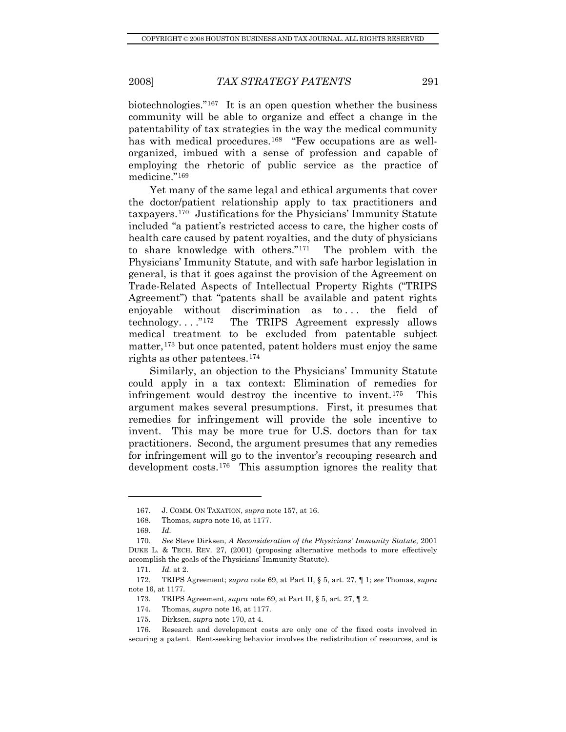biotechnologies."[167](#page-20-0) It is an open question whether the business community will be able to organize and effect a change in the patentability of tax strategies in the way the medical community has with medical procedures.<sup>[168](#page-20-1)</sup> "Few occupations are as wellorganized, imbued with a sense of profession and capable of employing the rhetoric of public service as the practice of medicine.["169](#page-20-2)

Yet many of the same legal and ethical arguments that cover the doctor/patient relationship apply to tax practitioners and taxpayers.[170](#page-20-3) Justifications for the Physicians' Immunity Statute included "a patient's restricted access to care, the higher costs of health care caused by patent royalties, and the duty of physicians to share knowledge with others."[171](#page-20-4) The problem with the Physicians' Immunity Statute, and with safe harbor legislation in general, is that it goes against the provision of the Agreement on Trade-Related Aspects of Intellectual Property Rights ("TRIPS Agreement") that "patents shall be available and patent rights enjoyable without discrimination as to... the field of technology. . . ."[172](#page-20-5) The TRIPS Agreement expressly allows medical treatment to be excluded from patentable subject matter,  $173$  but once patented, patent holders must enjoy the same rights as other patentees.[174](#page-20-7)

Similarly, an objection to the Physicians' Immunity Statute could apply in a tax context: Elimination of remedies for infringement would destroy the incentive to invent.[175](#page-20-8) This argument makes several presumptions. First, it presumes that remedies for infringement will provide the sole incentive to invent. This may be more true for U.S. doctors than for tax practitioners. Second, the argument presumes that any remedies for infringement will go to the inventor's recouping research and development costs.[176](#page-20-9) This assumption ignores the reality that

 <sup>167.</sup> J. COMM. ON TAXATION, *supra* note 157, at 16.

 <sup>168.</sup> Thomas, *supra* note 16, at 1177.

<sup>169</sup>*. Id.*

<span id="page-20-3"></span><span id="page-20-2"></span><span id="page-20-1"></span><span id="page-20-0"></span><sup>170</sup>*. See* Steve Dirksen, *A Reconsideration of the Physicians' Immunity Statute*, 2001 DUKE L. & TECH. REV. 27, (2001) (proposing alternative methods to more effectively accomplish the goals of the Physicians' Immunity Statute).

<sup>171</sup>*. Id.* at 2.

<span id="page-20-6"></span><span id="page-20-5"></span><span id="page-20-4"></span> <sup>172.</sup> TRIPS Agreement; *supra* note 69, at Part II, § 5, art. 27, ¶ 1; *see* Thomas, *supra* note 16, at 1177.

 <sup>173.</sup> TRIPS Agreement, *supra* note 69, at Part II, § 5, art. 27, ¶ 2.

 <sup>174.</sup> Thomas, *supra* note 16, at 1177.

 <sup>175.</sup> Dirksen, *supra* note 170, at 4.

<span id="page-20-9"></span><span id="page-20-8"></span><span id="page-20-7"></span> <sup>176.</sup> Research and development costs are only one of the fixed costs involved in securing a patent. Rent-seeking behavior involves the redistribution of resources, and is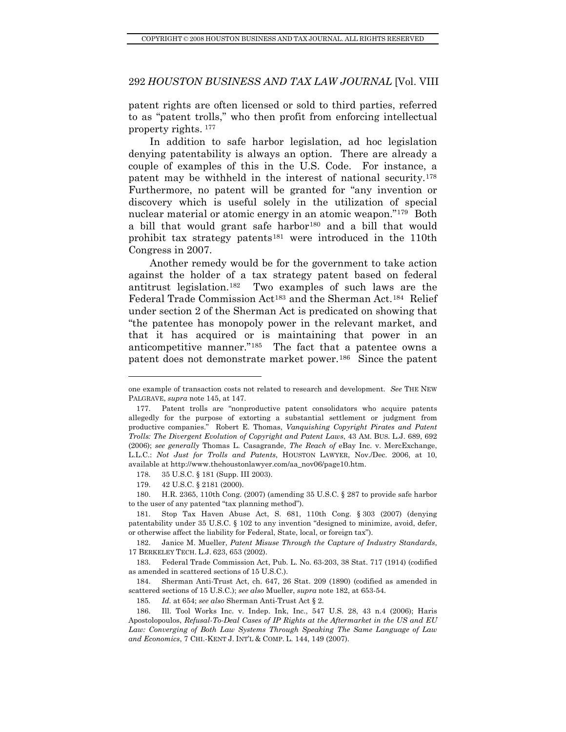patent rights are often licensed or sold to third parties, referred to as "patent trolls," who then profit from enforcing intellectual property rights. [177](#page-21-0)

In addition to safe harbor legislation, ad hoc legislation denying patentability is always an option. There are already a couple of examples of this in the U.S. Code. For instance, a patent may be withheld in the interest of national security.[178](#page-21-1) Furthermore, no patent will be granted for "any invention or discovery which is useful solely in the utilization of special nuclear material or atomic energy in an atomic weapon."[179](#page-21-2) Both a bill that would grant safe harbor<sup>[180](#page-21-3)</sup> and a bill that would prohibit tax strategy patents<sup>[181](#page-21-4)</sup> were introduced in the 110th Congress in 2007.

Another remedy would be for the government to take action against the holder of a tax strategy patent based on federal antitrust legislation.[182](#page-21-5) Two examples of such laws are the Federal Trade Commission Act<sup>183</sup> and the Sherman Act.<sup>[184](#page-21-7)</sup> Relief under section 2 of the Sherman Act is predicated on showing that "the patentee has monopoly power in the relevant market, and that it has acquired or is maintaining that power in an anticompetitive manner."[185](#page-21-8) The fact that a patentee owns a patent does not demonstrate market power.[186](#page-21-9) Since the patent

178. 35 U.S.C. § 181 (Supp. III 2003).

one example of transaction costs not related to research and development. *See* THE NEW PALGRAVE, *supra* note 145, at 147.

<span id="page-21-0"></span> <sup>177.</sup> Patent trolls are "nonproductive patent consolidators who acquire patents allegedly for the purpose of extorting a substantial settlement or judgment from productive companies." Robert E. Thomas, *Vanquishing Copyright Pirates and Patent Trolls: The Divergent Evolution of Copyright and Patent Laws*, 43 AM. BUS. L.J. 689, 692 (2006); *see generally* Thomas L. Casagrande, *The Reach of* eBay Inc. v. MercExchange, L.L.C.: *Not Just for Trolls and Patents*, HOUSTON LAWYER, Nov./Dec. 2006, at 10, available at http://www.thehoustonlawyer.com/aa\_nov06/page10.htm.

 <sup>179. 42</sup> U.S.C. § 2181 (2000).

<span id="page-21-3"></span><span id="page-21-2"></span><span id="page-21-1"></span> <sup>180.</sup> H.R. 2365, 110th Cong. (2007) (amending 35 U.S.C. § 287 to provide safe harbor to the user of any patented "tax planning method").

<span id="page-21-4"></span> <sup>181.</sup> Stop Tax Haven Abuse Act, S. 681, 110th Cong. § 303 (2007) (denying patentability under 35 U.S.C. § 102 to any invention "designed to minimize, avoid, defer, or otherwise affect the liability for Federal, State, local, or foreign tax").

<span id="page-21-5"></span> <sup>182.</sup> Janice M. Mueller, *Patent Misuse Through the Capture of Industry Standards*, 17 BERKELEY TECH. L.J. 623, 653 (2002).

<span id="page-21-6"></span> <sup>183.</sup> Federal Trade Commission Act, Pub. L. No. 63-203, 38 Stat. 717 (1914) (codified as amended in scattered sections of 15 U.S.C.).

<span id="page-21-7"></span> <sup>184.</sup> Sherman Anti-Trust Act, ch. 647, 26 Stat. 209 (1890) (codified as amended in scattered sections of 15 U.S.C.); *see also* Mueller, *supra* note 182, at 653-54.

<sup>185</sup>*. Id.* at 654; *see also* Sherman Anti-Trust Act § 2.

<span id="page-21-9"></span><span id="page-21-8"></span> <sup>186.</sup> Ill. Tool Works Inc. v. Indep. Ink, Inc., 547 U.S. 28, 43 n.4 (2006); Haris Apostolopoulos, *Refusal-To-Deal Cases of IP Rights at the Aftermarket in the US and EU Law: Converging of Both Law Systems Through Speaking The Same Language of Law and Economics*, 7 CHI.-KENT J. INT'L & COMP. L. 144, 149 (2007).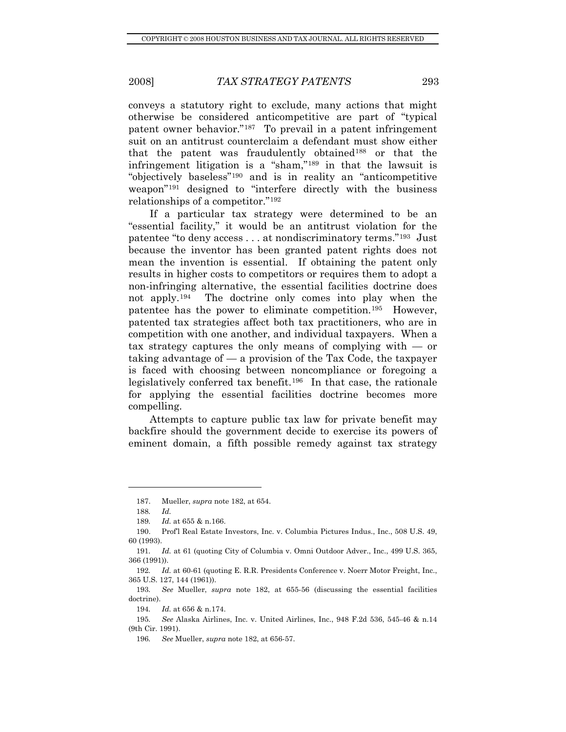conveys a statutory right to exclude, many actions that might otherwise be considered anticompetitive are part of "typical patent owner behavior."[187](#page-22-0) To prevail in a patent infringement suit on an antitrust counterclaim a defendant must show either that the patent was fraudulently obtained[188](#page-22-1) or that the infringement litigation is a "sham,"[189](#page-22-2) in that the lawsuit is "objectively baseless"[190](#page-22-3) and is in reality an "anticompetitive weapon"[191](#page-22-4) designed to "interfere directly with the business relationships of a competitor."[192](#page-22-5)

If a particular tax strategy were determined to be an "essential facility," it would be an antitrust violation for the patentee "to deny access . . . at nondiscriminatory terms."[193](#page-22-6) Just because the inventor has been granted patent rights does not mean the invention is essential. If obtaining the patent only results in higher costs to competitors or requires them to adopt a non-infringing alternative, the essential facilities doctrine does not apply.[194](#page-22-7) The doctrine only comes into play when the patentee has the power to eliminate competition.[195](#page-22-8) However, patented tax strategies affect both tax practitioners, who are in competition with one another, and individual taxpayers. When a tax strategy captures the only means of complying with — or taking advantage of  $\sim$  a provision of the Tax Code, the taxpayer is faced with choosing between noncompliance or foregoing a legislatively conferred tax benefit.[196](#page-22-9) In that case, the rationale for applying the essential facilities doctrine becomes more compelling.

Attempts to capture public tax law for private benefit may backfire should the government decide to exercise its powers of eminent domain, a fifth possible remedy against tax strategy

 <sup>187.</sup> Mueller, *supra* note 182, at 654.

<sup>188</sup>*. Id.*

<sup>189</sup>*. Id.* at 655 & n.166.

<span id="page-22-3"></span><span id="page-22-2"></span><span id="page-22-1"></span><span id="page-22-0"></span> <sup>190.</sup> Prof'l Real Estate Investors, Inc. v. Columbia Pictures Indus., Inc., 508 U.S. 49, 60 (1993).

<span id="page-22-4"></span><sup>191</sup>*. Id.* at 61 (quoting City of Columbia v. Omni Outdoor Adver., Inc., 499 U.S. 365, 366 (1991)).

<span id="page-22-5"></span><sup>192</sup>*. Id.* at 60-61 (quoting E. R.R. Presidents Conference v. Noerr Motor Freight, Inc., 365 U.S. 127, 144 (1961)).

<span id="page-22-6"></span><sup>193</sup>*. See* Mueller, *supra* note 182, at 655-56 (discussing the essential facilities doctrine).

<sup>194</sup>*. Id.* at 656 & n.174.

<span id="page-22-9"></span><span id="page-22-8"></span><span id="page-22-7"></span><sup>195</sup>*. See* Alaska Airlines, Inc. v. United Airlines, Inc., 948 F.2d 536, 545-46 & n.14 (9th Cir. 1991).

<sup>196</sup>*. See* Mueller, *supra* note 182, at 656-57.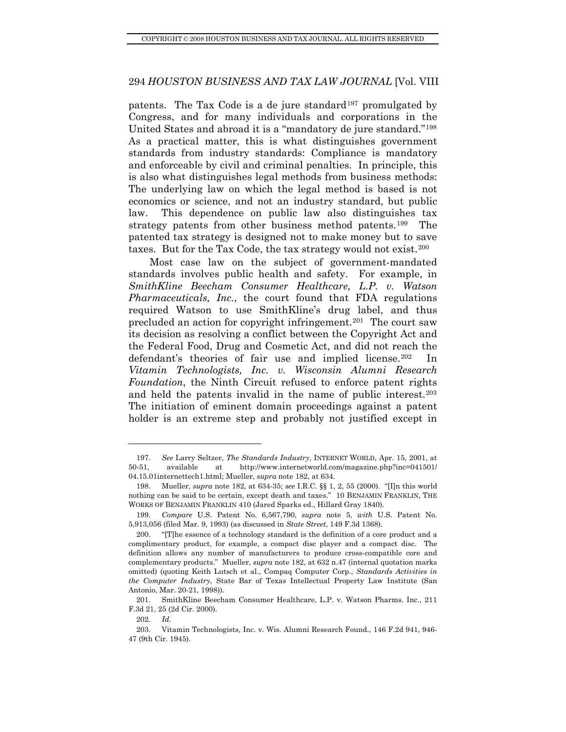patents. The Tax Code is a de jure standard<sup>[197](#page-23-0)</sup> promulgated by Congress, and for many individuals and corporations in the United States and abroad it is a "mandatory de jure standard."[198](#page-23-1) As a practical matter, this is what distinguishes government standards from industry standards: Compliance is mandatory and enforceable by civil and criminal penalties. In principle, this is also what distinguishes legal methods from business methods: The underlying law on which the legal method is based is not economics or science, and not an industry standard, but public law. This dependence on public law also distinguishes tax strategy patents from other business method patents.[199](#page-23-2) The patented tax strategy is designed not to make money but to save taxes. But for the Tax Code, the tax strategy would not exist.<sup>[200](#page-23-3)</sup>

Most case law on the subject of government-mandated standards involves public health and safety. For example, in *SmithKline Beecham Consumer Healthcare, L.P. v. Watson Pharmaceuticals, Inc.*, the court found that FDA regulations required Watson to use SmithKline's drug label, and thus precluded an action for copyright infringement.[201](#page-23-4) The court saw its decision as resolving a conflict between the Copyright Act and the Federal Food, Drug and Cosmetic Act, and did not reach the defendant's theories of fair use and implied license.[202](#page-23-5) In *Vitamin Technologists, Inc. v. Wisconsin Alumni Research Foundation*, the Ninth Circuit refused to enforce patent rights and held the patents invalid in the name of public interest.[203](#page-23-6) The initiation of eminent domain proceedings against a patent holder is an extreme step and probably not justified except in

<span id="page-23-0"></span><sup>197</sup>*. See* Larry Seltzer, *The Standards Industry*, INTERNET WORLD, Apr. 15, 2001, at 50-51, available at http://www.internetworld.com/magazine.php?inc=041501/ 04.15.01internettech1.html; Mueller, *supra* note 182, at 634.

<span id="page-23-1"></span> <sup>198.</sup> Mueller, *supra* note 182, at 634-35; *see* I.R.C. §§ 1, 2, 55 (2000). "[I]n this world nothing can be said to be certain, except death and taxes." 10 BENJAMIN FRANKLIN, THE WORKS OF BENJAMIN FRANKLIN 410 (Jared Sparks ed., Hillard Gray 1840).

<span id="page-23-2"></span><sup>199</sup>*. Compare* U.S. Patent No. 6,567,790, *supra* note 5, *with* U.S. Patent No. 5,913,056 (filed Mar. 9, 1993) (as discussed in *State Street*, 149 F.3d 1368).

<span id="page-23-3"></span> <sup>200. &</sup>quot;[T]he essence of a technology standard is the definition of a core product and a complimentary product, for example, a compact disc player and a compact disc. The definition allows any number of manufacturers to produce cross-compatible core and complementary products." Mueller, *supra* note 182, at 632 n.47 (internal quotation marks omitted) (quoting Keith Lutsch et al., Compaq Computer Corp., *Standards Activities in the Computer Industry*, State Bar of Texas Intellectual Property Law Institute (San Antonio, Mar. 20-21, 1998)).

<span id="page-23-4"></span> <sup>201.</sup> SmithKline Beecham Consumer Healthcare, L.P. v. Watson Pharms. Inc., 211 F.3d 21, 25 (2d Cir. 2000).

<sup>202</sup>*. Id.*

<span id="page-23-6"></span><span id="page-23-5"></span> <sup>203.</sup> Vitamin Technologists, Inc. v. Wis. Alumni Research Found., 146 F.2d 941, 946- 47 (9th Cir. 1945).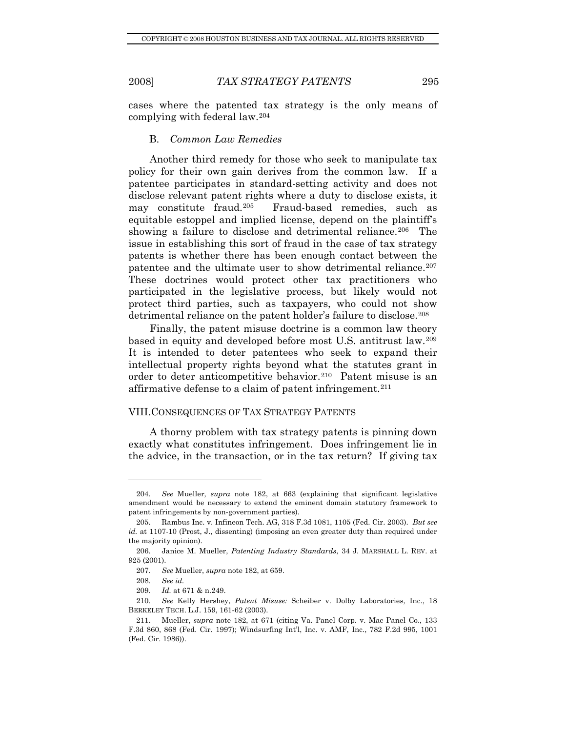<span id="page-24-0"></span>

cases where the patented tax strategy is the only means of complying with federal law.[204](#page-24-1)

## B. *Common Law Remedies*

Another third remedy for those who seek to manipulate tax policy for their own gain derives from the common law. If a patentee participates in standard-setting activity and does not disclose relevant patent rights where a duty to disclose exists, it may constitute fraud.[205](#page-24-2) Fraud-based remedies, such as equitable estoppel and implied license, depend on the plaintiff's showing a failure to disclose and detrimental reliance.<sup>[206](#page-24-3)</sup> The issue in establishing this sort of fraud in the case of tax strategy patents is whether there has been enough contact between the patentee and the ultimate user to show detrimental reliance.<sup>[207](#page-24-4)</sup> These doctrines would protect other tax practitioners who participated in the legislative process, but likely would not protect third parties, such as taxpayers, who could not show detrimental reliance on the patent holder's failure to disclose.<sup>[208](#page-24-5)</sup>

Finally, the patent misuse doctrine is a common law theory based in equity and developed before most U.S. antitrust law.[209](#page-24-6) It is intended to deter patentees who seek to expand their intellectual property rights beyond what the statutes grant in order to deter anticompetitive behavior.[210](#page-24-7) Patent misuse is an affirmative defense to a claim of patent infringement.[211](#page-24-8)

#### VIII.CONSEQUENCES OF TAX STRATEGY PATENTS

A thorny problem with tax strategy patents is pinning down exactly what constitutes infringement. Does infringement lie in the advice, in the transaction, or in the tax return? If giving tax

<span id="page-24-1"></span><sup>204</sup>*. See* Mueller, *supra* note 182, at 663 (explaining that significant legislative amendment would be necessary to extend the eminent domain statutory framework to patent infringements by non-government parties).

<span id="page-24-2"></span> <sup>205.</sup> Rambus Inc. v. Infineon Tech. AG, 318 F.3d 1081, 1105 (Fed. Cir. 2003). *But see id.* at 1107-10 (Prost, J., dissenting) (imposing an even greater duty than required under the majority opinion).

<span id="page-24-4"></span><span id="page-24-3"></span> <sup>206.</sup> Janice M. Mueller, *Patenting Industry Standards*, 34 J. MARSHALL L. REV. at 925 (2001).

<sup>207</sup>*. See* Mueller, *supra* note 182, at 659.

<sup>208</sup>*. See id.*

<sup>209</sup>*. Id.* at 671 & n.249.

<span id="page-24-7"></span><span id="page-24-6"></span><span id="page-24-5"></span><sup>210</sup>*. See* Kelly Hershey, *Patent Misuse:* Scheiber v. Dolby Laboratories, Inc., 18 BERKELEY TECH. L.J. 159, 161-62 (2003).

<span id="page-24-8"></span> <sup>211.</sup> Mueller, *supra* note 182, at 671 (citing Va. Panel Corp. v. Mac Panel Co., 133 F.3d 860, 868 (Fed. Cir. 1997); Windsurfing Int'l, Inc. v. AMF, Inc., 782 F.2d 995, 1001 (Fed. Cir. 1986)).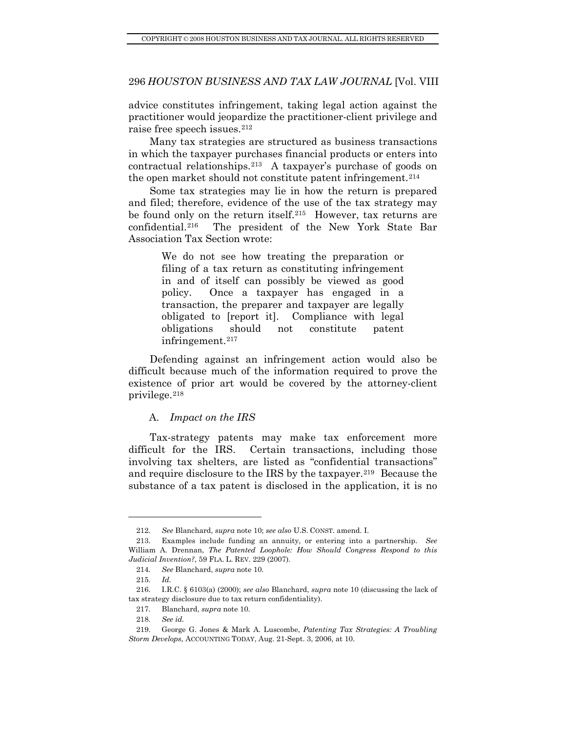<span id="page-25-0"></span>advice constitutes infringement, taking legal action against the practitioner would jeopardize the practitioner-client privilege and raise free speech issues.[212](#page-25-1)

Many tax strategies are structured as business transactions in which the taxpayer purchases financial products or enters into contractual relationships.[213](#page-25-2) A taxpayer's purchase of goods on the open market should not constitute patent infringement.[214](#page-25-3)

Some tax strategies may lie in how the return is prepared and filed; therefore, evidence of the use of the tax strategy may be found only on the return itself.<sup>[215](#page-25-4)</sup> However, tax returns are confidential.[216](#page-25-5) The president of the New York State Bar Association Tax Section wrote:

> We do not see how treating the preparation or filing of a tax return as constituting infringement in and of itself can possibly be viewed as good policy. Once a taxpayer has engaged in a transaction, the preparer and taxpayer are legally obligated to [report it]. Compliance with legal obligations should not constitute patent infringement.<sup>[217](#page-25-6)</sup>

Defending against an infringement action would also be difficult because much of the information required to prove the existence of prior art would be covered by the attorney-client privilege.[218](#page-25-7)

#### A. *Impact on the IRS*

Tax-strategy patents may make tax enforcement more difficult for the IRS. Certain transactions, including those involving tax shelters, are listed as "confidential transactions" and require disclosure to the IRS by the taxpayer.<sup>[219](#page-25-8)</sup> Because the substance of a tax patent is disclosed in the application, it is no

<sup>212</sup>*. See* Blanchard, *supra* note 10; *see also* U.S. CONST. amend. I.

<span id="page-25-2"></span><span id="page-25-1"></span> <sup>213.</sup> Examples include funding an annuity, or entering into a partnership. *See*  William A. Drennan, *The Patented Loophole: How Should Congress Respond to this Judicial Invention?*, 59 FLA. L. REV. 229 (2007).

<sup>214</sup>*. See* Blanchard, *supra* note 10.

<sup>215</sup>*. Id.*

<span id="page-25-6"></span><span id="page-25-5"></span><span id="page-25-4"></span><span id="page-25-3"></span> <sup>216.</sup> I.R.C. § 6103(a) (2000); *see also* Blanchard, *supra* note 10 (discussing the lack of tax strategy disclosure due to tax return confidentiality).

 <sup>217.</sup> Blanchard, *supra* note 10.

<sup>218</sup>*. See id.*

<span id="page-25-8"></span><span id="page-25-7"></span> <sup>219.</sup> George G. Jones & Mark A. Luscombe, *Patenting Tax Strategies: A Troubling Storm Develops*, ACCOUNTING TODAY, Aug. 21-Sept. 3, 2006, at 10.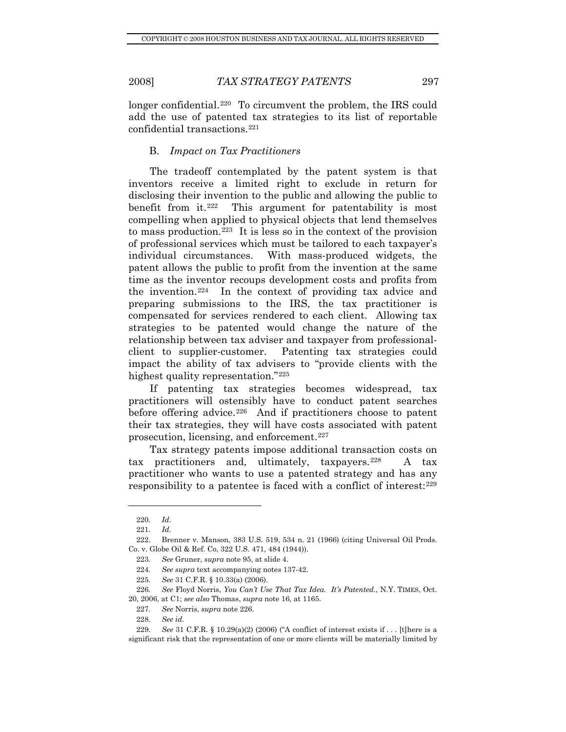<span id="page-26-0"></span>

longer confidential.<sup>[220](#page-26-1)</sup> To circumvent the problem, the IRS could add the use of patented tax strategies to its list of reportable confidential transactions.[221](#page-26-2)

#### B. *Impact on Tax Practitioners*

The tradeoff contemplated by the patent system is that inventors receive a limited right to exclude in return for disclosing their invention to the public and allowing the public to benefit from it.[222](#page-26-3) This argument for patentability is most compelling when applied to physical objects that lend themselves to mass production.<sup>[223](#page-26-4)</sup> It is less so in the context of the provision of professional services which must be tailored to each taxpayer's individual circumstances. With mass-produced widgets, the patent allows the public to profit from the invention at the same time as the inventor recoups development costs and profits from the invention.<sup>[224](#page-26-5)</sup> In the context of providing tax advice and preparing submissions to the IRS, the tax practitioner is compensated for services rendered to each client. Allowing tax strategies to be patented would change the nature of the relationship between tax adviser and taxpayer from professionalclient to supplier-customer. Patenting tax strategies could impact the ability of tax advisers to "provide clients with the highest quality representation."[225](#page-26-6)

If patenting tax strategies becomes widespread, tax practitioners will ostensibly have to conduct patent searches before offering advice.<sup>[226](#page-26-7)</sup> And if practitioners choose to patent their tax strategies, they will have costs associated with patent prosecution, licensing, and enforcement.[227](#page-26-8)

Tax strategy patents impose additional transaction costs on tax practitioners and, ultimately, taxpayers.<sup>[228](#page-26-9)</sup> A tax practitioner who wants to use a patented strategy and has any responsibility to a patentee is faced with a conflict of interest:[229](#page-26-10)

<sup>220</sup>*. Id.*

<sup>221</sup>*. Id.*

<span id="page-26-4"></span><span id="page-26-3"></span><span id="page-26-2"></span><span id="page-26-1"></span> <sup>222.</sup> Brenner v. Manson, 383 U.S. 519, 534 n. 21 (1966) (citing Universal Oil Prods. Co. v. Globe Oil & Ref. Co, 322 U.S. 471, 484 (1944)).

<sup>223</sup>*. See* Gruner, *supra* note 95, at slide 4.

<sup>224</sup>*. See supra* text accompanying notes 137-42.

<sup>225</sup>*. See* 31 C.F.R. § 10.33(a) (2006).

<span id="page-26-7"></span><span id="page-26-6"></span><span id="page-26-5"></span><sup>226</sup>*. See* Floyd Norris, *You Can't Use That Tax Idea. It's Patented.*, N.Y. TIMES, Oct. 20, 2006, at C1; *see also* Thomas, *supra* note 16, at 1165.

<sup>227</sup>*. See* Norris, *supra* note 226.

<sup>228</sup>*. See id.*

<span id="page-26-10"></span><span id="page-26-9"></span><span id="page-26-8"></span><sup>229</sup>*. See* 31 C.F.R. § 10.29(a)(2) (2006) ("A conflict of interest exists if . . . [t]here is a significant risk that the representation of one or more clients will be materially limited by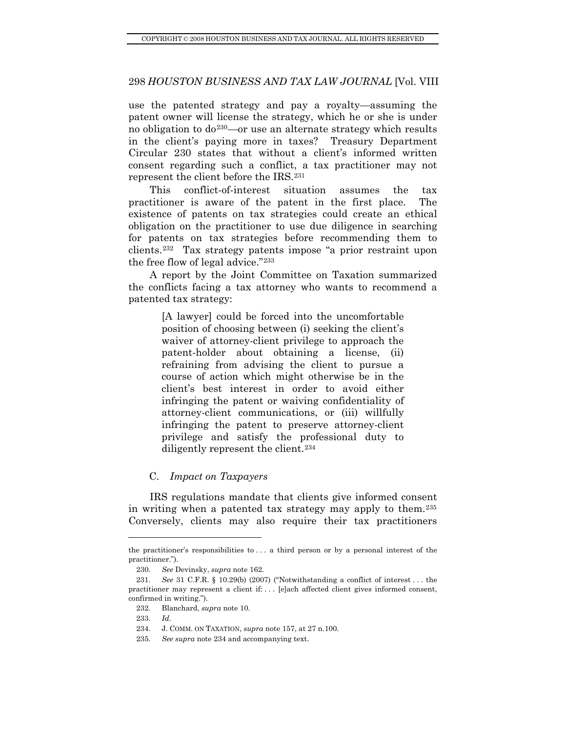<span id="page-27-0"></span>represent the client before the IRS.<sup>231</sup> use the patented strategy and pay a royalty—assuming the patent owner will license the strategy, which he or she is under no obligation to  $do^{230}$  $do^{230}$  $do^{230}$ —or use an alternate strategy which results in the client's paying more in taxes? Treasury Department Circular 230 states that without a client's informed written consent regarding such a conflict, a tax practitioner may not

This conflict-of-interest situation assumes the tax practitioner is aware of the patent in the first place. The existence of patents on tax strategies could create an ethical obligation on the practitioner to use due diligence in searching for patents on tax strategies before recommending them to clients.[232](#page-27-2) Tax strategy patents impose "a prior restraint upon the free flow of legal advice."[233](#page-27-3)

A report by the Joint Committee on Taxation summarized the conflicts facing a tax attorney who wants to recommend a patented tax strategy:

> [A lawyer] could be forced into the uncomfortable position of choosing between (i) seeking the client's waiver of attorney-client privilege to approach the patent-holder about obtaining a license, (ii) refraining from advising the client to pursue a course of action which might otherwise be in the client's best interest in order to avoid either infringing the patent or waiving confidentiality of attorney-client communications, or (iii) willfully infringing the patent to preserve attorney-client privilege and satisfy the professional duty to diligently represent the client.[234](#page-27-4)

## C. *Impact on Taxpayers*

IRS regulations mandate that clients give informed consent in writing when a patented tax strategy may apply to them.[235](#page-27-5) Conversely, clients may also require their tax practitioners

the practitioner's responsibilities to . . . a third person or by a personal interest of the practitioner.").

<sup>230</sup>*. See* Devinsky, *supra* note 162.

<span id="page-27-3"></span><span id="page-27-2"></span><span id="page-27-1"></span><sup>231</sup>*. See* 31 C.F.R. § 10.29(b) (2007) ("Notwithstanding a conflict of interest . . . the practitioner may represent a client if: . . . [e]ach affected client gives informed consent, confirmed in writing.").

 <sup>232.</sup> Blanchard, *supra* note 10.

<sup>233</sup>*. Id.*

 <sup>234.</sup> J. COMM. ON TAXATION, *supra* note 157, at 27 n.100.

<span id="page-27-5"></span><span id="page-27-4"></span><sup>235</sup>*. See supra* note 234 and accompanying text.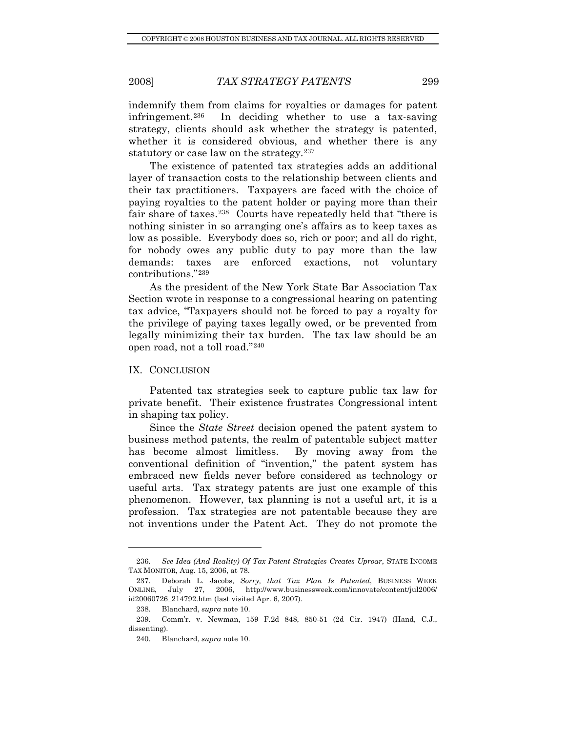<span id="page-28-0"></span>indemnify them from claims for royalties or damages for patent infringement.[236](#page-28-1) In deciding whether to use a tax-saving strategy, clients should ask whether the strategy is patented, whether it is considered obvious, and whether there is any statutory or case law on the strategy.<sup>[237](#page-28-2)</sup>

The existence of patented tax strategies adds an additional layer of transaction costs to the relationship between clients and their tax practitioners. Taxpayers are faced with the choice of paying royalties to the patent holder or paying more than their fair share of taxes.<sup>[238](#page-28-3)</sup> Courts have repeatedly held that "there is nothing sinister in so arranging one's affairs as to keep taxes as low as possible. Everybody does so, rich or poor; and all do right, for nobody owes any public duty to pay more than the law demands: taxes are enforced exactions, not voluntary contributions."[239](#page-28-4)

As the president of the New York State Bar Association Tax Section wrote in response to a congressional hearing on patenting tax advice, "Taxpayers should not be forced to pay a royalty for the privilege of paying taxes legally owed, or be prevented from legally minimizing their tax burden. The tax law should be an open road, not a toll road."[240](#page-28-5)

## IX. CONCLUSION

Patented tax strategies seek to capture public tax law for private benefit. Their existence frustrates Congressional intent in shaping tax policy.

Since the *State Street* decision opened the patent system to business method patents, the realm of patentable subject matter has become almost limitless. By moving away from the conventional definition of "invention," the patent system has embraced new fields never before considered as technology or useful arts. Tax strategy patents are just one example of this phenomenon. However, tax planning is not a useful art, it is a profession. Tax strategies are not patentable because they are not inventions under the Patent Act. They do not promote the

<span id="page-28-1"></span><sup>236</sup>*. See Idea (And Reality) Of Tax Patent Strategies Creates Uproar*, STATE INCOME TAX MONITOR, Aug. 15, 2006, at 78.

<span id="page-28-2"></span> <sup>237.</sup> Deborah L. Jacobs, *Sorry, that Tax Plan Is Patented*, BUSINESS WEEK ONLINE, July 27, 2006, http://www.businessweek.com/innovate/content/jul2006/ id20060726\_214792.htm (last visited Apr. 6, 2007).

 <sup>238.</sup> Blanchard, *supra* note 10.

<span id="page-28-5"></span><span id="page-28-4"></span><span id="page-28-3"></span> <sup>239.</sup> Comm'r. v. Newman, 159 F.2d 848, 850-51 (2d Cir. 1947) (Hand, C.J., dissenting).

 <sup>240.</sup> Blanchard, *supra* note 10.